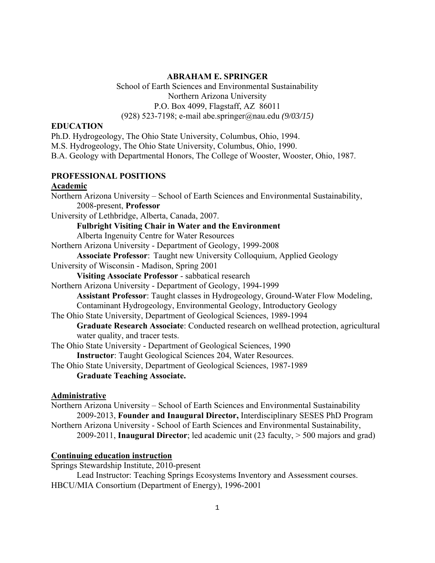#### **ABRAHAM E. SPRINGER**

 School of Earth Sciences and Environmental Sustainability Northern Arizona University P.O. Box 4099, Flagstaff, AZ 86011 (928) 523-7198; e-mail abe.springer@nau.edu *(9/03/15)*

#### **EDUCATION**

Ph.D. Hydrogeology, The Ohio State University, Columbus, Ohio, 1994. M.S. Hydrogeology, The Ohio State University, Columbus, Ohio, 1990. B.A. Geology with Departmental Honors, The College of Wooster, Wooster, Ohio, 1987. **PROFESSIONAL POSITIONS Academic**  Northern Arizona University – School of Earth Sciences and Environmental Sustainability, 2008-present, **Professor**  University of Lethbridge, Alberta, Canada, 2007. **Fulbright Visiting Chair in Water and the Environment**

Alberta Ingenuity Centre for Water Resources

Northern Arizona University - Department of Geology, 1999-2008

**Associate Professor**: Taught new University Colloquium, Applied Geology

University of Wisconsin - Madison, Spring 2001

**Visiting Associate Professor** - sabbatical research

Northern Arizona University - Department of Geology, 1994-1999

**Assistant Professor**: Taught classes in Hydrogeology, Ground-Water Flow Modeling,

Contaminant Hydrogeology, Environmental Geology, Introductory Geology

The Ohio State University, Department of Geological Sciences, 1989-1994

**Graduate Research Associate**: Conducted research on wellhead protection, agricultural water quality, and tracer tests.

The Ohio State University - Department of Geological Sciences, 1990

**Instructor**: Taught Geological Sciences 204, Water Resources.

The Ohio State University, Department of Geological Sciences, 1987-1989 **Graduate Teaching Associate.** 

#### **Administrative**

Northern Arizona University – School of Earth Sciences and Environmental Sustainability 2009-2013, **Founder and Inaugural Director,** Interdisciplinary SESES PhD Program Northern Arizona University - School of Earth Sciences and Environmental Sustainability, 2009-2011, **Inaugural Director**; led academic unit (23 faculty, > 500 majors and grad)

#### **Continuing education instruction**

Springs Stewardship Institute, 2010-present

 Lead Instructor: Teaching Springs Ecosystems Inventory and Assessment courses. HBCU/MIA Consortium (Department of Energy), 1996-2001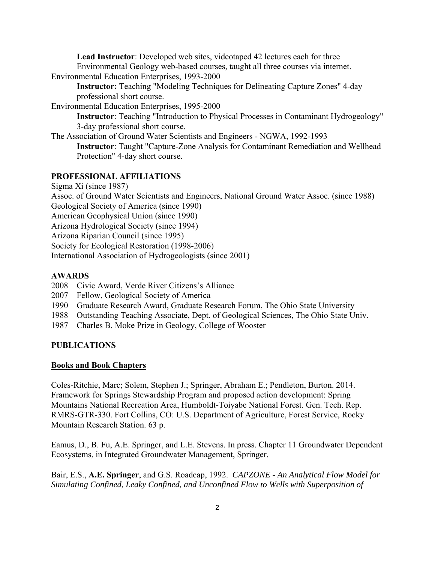**Lead Instructor**: Developed web sites, videotaped 42 lectures each for three Environmental Geology web-based courses, taught all three courses via internet. Environmental Education Enterprises, 1993-2000

 **Instructor:** Teaching "Modeling Techniques for Delineating Capture Zones" 4-day professional short course.

Environmental Education Enterprises, 1995-2000

**Instructor**: Teaching "Introduction to Physical Processes in Contaminant Hydrogeology" 3-day professional short course.

The Association of Ground Water Scientists and Engineers - NGWA, 1992-1993 **Instructor**: Taught "Capture-Zone Analysis for Contaminant Remediation and Wellhead Protection" 4-day short course.

#### **PROFESSIONAL AFFILIATIONS**

Sigma Xi (since 1987) Assoc. of Ground Water Scientists and Engineers, National Ground Water Assoc. (since 1988) Geological Society of America (since 1990) American Geophysical Union (since 1990) Arizona Hydrological Society (since 1994) Arizona Riparian Council (since 1995) Society for Ecological Restoration (1998-2006) International Association of Hydrogeologists (since 2001)

### **AWARDS**

- 2008 Civic Award, Verde River Citizens's Alliance
- 2007 Fellow, Geological Society of America
- 1990 Graduate Research Award, Graduate Research Forum, The Ohio State University
- 1988 Outstanding Teaching Associate, Dept. of Geological Sciences, The Ohio State Univ.
- 1987 Charles B. Moke Prize in Geology, College of Wooster

#### **PUBLICATIONS**

#### **Books and Book Chapters**

Coles-Ritchie, Marc; Solem, Stephen J.; Springer, Abraham E.; Pendleton, Burton. 2014. Framework for Springs Stewardship Program and proposed action development: Spring Mountains National Recreation Area, Humboldt-Toiyabe National Forest. Gen. Tech. Rep. RMRS-GTR-330. Fort Collins, CO: U.S. Department of Agriculture, Forest Service, Rocky Mountain Research Station. 63 p.

Eamus, D., B. Fu, A.E. Springer, and L.E. Stevens. In press. Chapter 11 Groundwater Dependent Ecosystems, in Integrated Groundwater Management, Springer.

Bair, E.S., **A.E. Springer**, and G.S. Roadcap, 1992. *CAPZONE - An Analytical Flow Model for Simulating Confined, Leaky Confined, and Unconfined Flow to Wells with Superposition of*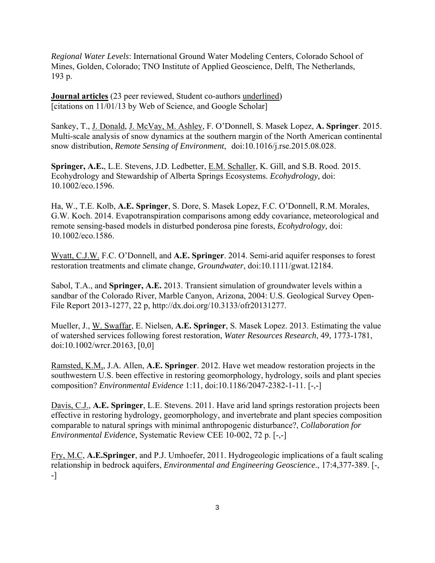*Regional Water Levels*: International Ground Water Modeling Centers, Colorado School of Mines, Golden, Colorado; TNO Institute of Applied Geoscience, Delft, The Netherlands, 193 p.

**Journal articles** (23 peer reviewed, Student co-authors underlined) [citations on 11/01/13 by Web of Science, and Google Scholar]

Sankey, T., J. Donald, J. McVay, M. Ashley, F. O'Donnell, S. Masek Lopez, **A. Springer**. 2015. Multi-scale analysis of snow dynamics at the southern margin of the North American continental snow distribution, *Remote Sensing of Environment*, doi:10.1016/j.rse.2015.08.028.

**Springer, A.E.**, L.E. Stevens, J.D. Ledbetter, E.M. Schaller, K. Gill, and S.B. Rood. 2015. Ecohydrology and Stewardship of Alberta Springs Ecosystems. *Ecohydrology,* doi: 10.1002/eco.1596.

Ha, W., T.E. Kolb, **A.E. Springer**, S. Dore, S. Masek Lopez, F.C. O'Donnell, R.M. Morales, G.W. Koch. 2014. Evapotranspiration comparisons among eddy covariance, meteorological and remote sensing-based models in disturbed ponderosa pine forests, *Ecohydrology,* doi: 10.1002/eco.1586.

Wyatt, C.J.W. F.C. O'Donnell, and **A.E. Springer**. 2014. Semi-arid aquifer responses to forest restoration treatments and climate change, *Groundwater*, doi:10.1111/gwat.12184.

Sabol, T.A., and **Springer, A.E.** 2013. Transient simulation of groundwater levels within a sandbar of the Colorado River, Marble Canyon, Arizona, 2004: U.S. Geological Survey Open-File Report 2013-1277, 22 p, http://dx.doi.org/10.3133/ofr20131277.

Mueller, J., W. Swaffar, E. Nielsen, **A.E. Springer**, S. Masek Lopez. 2013. Estimating the value of watershed services following forest restoration, *Water Resources Research*, 49, 1773-1781, doi:10.1002/wrcr.20163, [0,0]

Ramsted, K.M,, J.A. Allen, **A.E. Springer**. 2012. Have wet meadow restoration projects in the southwestern U.S. been effective in restoring geomorphology, hydrology, soils and plant species composition? *Environmental Evidence* 1:11, doi:10.1186/2047-2382-1-11. [-,-]

Davis, C.J., **A.E. Springer**, L.E. Stevens. 2011. Have arid land springs restoration projects been effective in restoring hydrology, geomorphology, and invertebrate and plant species composition comparable to natural springs with minimal anthropogenic disturbance?, *Collaboration for Environmental Evidence*, Systematic Review CEE 10-002, 72 p. [-,-]

Fry, M.C, **A.E.Springer**, and P.J. Umhoefer, 2011. Hydrogeologic implications of a fault scaling relationship in bedrock aquifers, *Environmental and Engineering Geoscience*., 17:4,377-389. [-, -]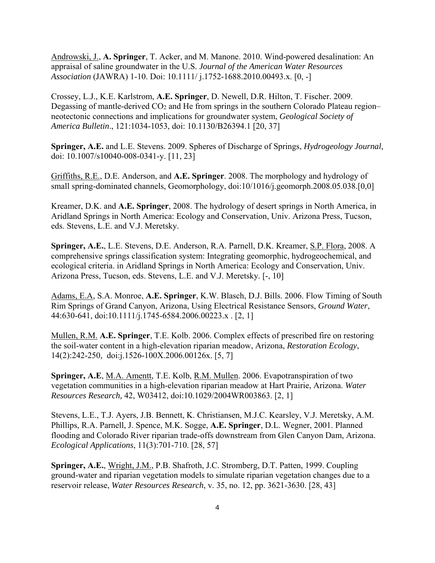Androwski, J., **A. Springer**, T. Acker, and M. Manone. 2010. Wind-powered desalination: An appraisal of saline groundwater in the U.S. *Journal of the American Water Resources Association* (JAWRA) 1-10. Doi: 10.1111/ j.1752-1688.2010.00493.x. [0, -]

Crossey, L.J., K.E. Karlstrom, **A.E. Springer**, D. Newell, D.R. Hilton, T. Fischer. 2009. Degassing of mantle-derived  $CO<sub>2</sub>$  and He from springs in the southern Colorado Plateau region– neotectonic connections and implications for groundwater system, *Geological Society of America Bulletin*., 121:1034-1053, doi: 10.1130/B26394.1 [20, 37]

**Springer, A.E.** and L.E. Stevens. 2009. Spheres of Discharge of Springs, *Hydrogeology Journal*, doi: 10.1007/s10040-008-0341-y. [11, 23]

Griffiths, R.E., D.E. Anderson, and **A.E. Springer**. 2008. The morphology and hydrology of small spring-dominated channels, Geomorphology, doi:10/1016/j.geomorph.2008.05.038.[0,0]

Kreamer, D.K. and **A.E. Springer**, 2008. The hydrology of desert springs in North America, in Aridland Springs in North America: Ecology and Conservation, Univ. Arizona Press, Tucson, eds. Stevens, L.E. and V.J. Meretsky.

Springer, A.E., L.E. Stevens, D.E. Anderson, R.A. Parnell, D.K. Kreamer, S.P. Flora, 2008. A comprehensive springs classification system: Integrating geomorphic, hydrogeochemical, and ecological criteria. in Aridland Springs in North America: Ecology and Conservation, Univ. Arizona Press, Tucson, eds. Stevens, L.E. and V.J. Meretsky. [-, 10]

Adams, E.A, S.A. Monroe, **A.E. Springer**, K.W. Blasch, D.J. Bills. 2006. Flow Timing of South Rim Springs of Grand Canyon, Arizona, Using Electrical Resistance Sensors, *Ground Water*, 44:630-641, doi:10.1111/j.1745-6584.2006.00223.x . [2, 1]

Mullen, R.M. **A.E. Springer**, T.E. Kolb. 2006. Complex effects of prescribed fire on restoring the soil-water content in a high-elevation riparian meadow, Arizona, *Restoration Ecology*, 14(2):242-250, doi:j.1526-100X.2006.00126x. [5, 7]

**Springer, A.E**, M.A. Amentt, T.E. Kolb, R.M. Mullen. 2006. Evapotranspiration of two vegetation communities in a high-elevation riparian meadow at Hart Prairie, Arizona. *Water Resources Research,* 42, W03412, doi:10.1029/2004WR003863. [2, 1]

Stevens, L.E., T.J. Ayers, J.B. Bennett, K. Christiansen, M.J.C. Kearsley, V.J. Meretsky, A.M. Phillips, R.A. Parnell, J. Spence, M.K. Sogge, **A.E. Springer**, D.L. Wegner, 2001. Planned flooding and Colorado River riparian trade-offs downstream from Glen Canyon Dam, Arizona. *Ecological Applications*, 11(3):701-710. [28, 57]

**Springer, A.E.**, Wright, J.M., P.B. Shafroth, J.C. Stromberg, D.T. Patten, 1999. Coupling ground-water and riparian vegetation models to simulate riparian vegetation changes due to a reservoir release, *Water Resources Research*, v. 35, no. 12, pp. 3621-3630. [28, 43]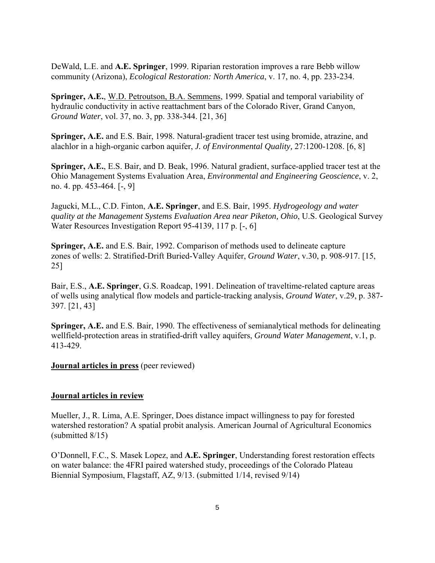DeWald, L.E. and **A.E. Springer**, 1999. Riparian restoration improves a rare Bebb willow community (Arizona), *Ecological Restoration: North America*, v. 17, no. 4, pp. 233-234.

**Springer, A.E.**, W.D. Petroutson, B.A. Semmens, 1999. Spatial and temporal variability of hydraulic conductivity in active reattachment bars of the Colorado River, Grand Canyon, *Ground Water*, vol. 37, no. 3, pp. 338-344. [21, 36]

**Springer, A.E.** and E.S. Bair, 1998. Natural-gradient tracer test using bromide, atrazine, and alachlor in a high-organic carbon aquifer, *J. of Environmental Quality,* 27:1200-1208. [6, 8]

**Springer, A.E.**, E.S. Bair, and D. Beak, 1996. Natural gradient, surface-applied tracer test at the Ohio Management Systems Evaluation Area, *Environmental and Engineering Geoscience*, v. 2, no. 4. pp. 453-464. [-, 9]

Jagucki, M.L., C.D. Finton, **A.E. Springer**, and E.S. Bair, 1995. *Hydrogeology and water quality at the Management Systems Evaluation Area near Piketon, Ohio*, U.S. Geological Survey Water Resources Investigation Report 95-4139, 117 p. [-, 6]

**Springer, A.E.** and E.S. Bair, 1992. Comparison of methods used to delineate capture zones of wells: 2. Stratified-Drift Buried-Valley Aquifer, *Ground Water*, v.30, p. 908-917. [15, 25]

Bair, E.S., **A.E. Springer**, G.S. Roadcap, 1991. Delineation of traveltime-related capture areas of wells using analytical flow models and particle-tracking analysis, *Ground Water*, v.29, p. 387- 397. [21, 43]

**Springer, A.E.** and E.S. Bair, 1990. The effectiveness of semianalytical methods for delineating wellfield-protection areas in stratified-drift valley aquifers, *Ground Water Management*, v.1, p. 413-429.

**Journal articles in press** (peer reviewed)

#### **Journal articles in review**

Mueller, J., R. Lima, A.E. Springer, Does distance impact willingness to pay for forested watershed restoration? A spatial probit analysis. American Journal of Agricultural Economics (submitted 8/15)

O'Donnell, F.C., S. Masek Lopez, and **A.E. Springer**, Understanding forest restoration effects on water balance: the 4FRI paired watershed study, proceedings of the Colorado Plateau Biennial Symposium, Flagstaff, AZ, 9/13. (submitted 1/14, revised 9/14)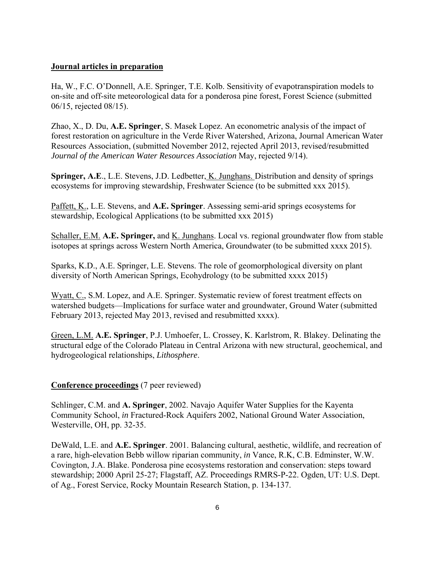#### **Journal articles in preparation**

Ha, W., F.C. O'Donnell, A.E. Springer, T.E. Kolb. Sensitivity of evapotranspiration models to on-site and off-site meteorological data for a ponderosa pine forest, Forest Science (submitted 06/15, rejected 08/15).

Zhao, X., D. Du, **A.E. Springer**, S. Masek Lopez. An econometric analysis of the impact of forest restoration on agriculture in the Verde River Watershed, Arizona, Journal American Water Resources Association, (submitted November 2012, rejected April 2013, revised/resubmitted *Journal of the American Water Resources Association* May, rejected 9/14).

**Springer, A.E**., L.E. Stevens, J.D. Ledbetter, K. Junghans. Distribution and density of springs ecosystems for improving stewardship, Freshwater Science (to be submitted xxx 2015).

Paffett, K., L.E. Stevens, and **A.E. Springer**. Assessing semi-arid springs ecosystems for stewardship, Ecological Applications (to be submitted xxx 2015)

Schaller, E.M. **A.E. Springer,** and K. Junghans. Local vs. regional groundwater flow from stable isotopes at springs across Western North America, Groundwater (to be submitted xxxx 2015).

Sparks, K.D., A.E. Springer, L.E. Stevens. The role of geomorphological diversity on plant diversity of North American Springs, Ecohydrology (to be submitted xxxx 2015)

Wyatt, C., S.M. Lopez, and A.E. Springer. Systematic review of forest treatment effects on watershed budgets—Implications for surface water and groundwater, Ground Water (submitted February 2013, rejected May 2013, revised and resubmitted xxxx).

Green, L.M. **A.E. Springer**, P.J. Umhoefer, L. Crossey, K. Karlstrom, R. Blakey. Delinating the structural edge of the Colorado Plateau in Central Arizona with new structural, geochemical, and hydrogeological relationships, *Lithosphere*.

#### **Conference proceedings** (7 peer reviewed)

Schlinger, C.M. and **A. Springer**, 2002. Navajo Aquifer Water Supplies for the Kayenta Community School, *in* Fractured-Rock Aquifers 2002, National Ground Water Association, Westerville, OH, pp. 32-35.

DeWald, L.E. and **A.E. Springer**. 2001. Balancing cultural, aesthetic, wildlife, and recreation of a rare, high-elevation Bebb willow riparian community, *in* Vance, R.K, C.B. Edminster, W.W. Covington, J.A. Blake. Ponderosa pine ecosystems restoration and conservation: steps toward stewardship; 2000 April 25-27; Flagstaff, AZ. Proceedings RMRS-P-22. Ogden, UT: U.S. Dept. of Ag., Forest Service, Rocky Mountain Research Station, p. 134-137.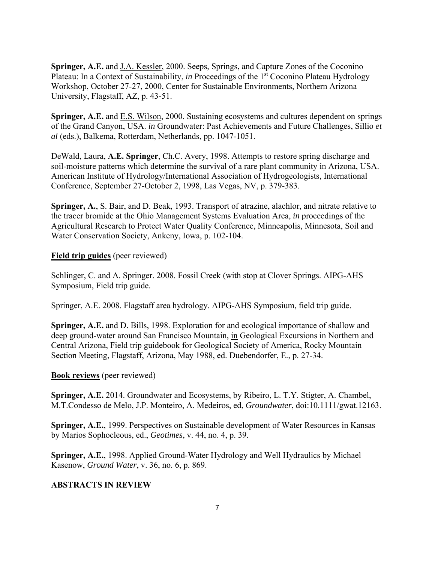**Springer, A.E.** and J.A. Kessler, 2000. Seeps, Springs, and Capture Zones of the Coconino Plateau: In a Context of Sustainability, *in* Proceedings of the 1<sup>st</sup> Coconino Plateau Hydrology Workshop, October 27-27, 2000, Center for Sustainable Environments, Northern Arizona University, Flagstaff, AZ, p. 43-51.

**Springer, A.E.** and E.S. Wilson, 2000. Sustaining ecosystems and cultures dependent on springs of the Grand Canyon, USA. *in* Groundwater: Past Achievements and Future Challenges, Sillio *et al* (eds.), Balkema, Rotterdam, Netherlands, pp. 1047-1051.

DeWald, Laura, **A.E. Springer**, Ch.C. Avery, 1998. Attempts to restore spring discharge and soil-moisture patterns which determine the survival of a rare plant community in Arizona, USA. American Institute of Hydrology/International Association of Hydrogeologists, International Conference, September 27-October 2, 1998, Las Vegas, NV, p. 379-383.

**Springer, A.**, S. Bair, and D. Beak, 1993. Transport of atrazine, alachlor, and nitrate relative to the tracer bromide at the Ohio Management Systems Evaluation Area, *in* proceedings of the Agricultural Research to Protect Water Quality Conference, Minneapolis, Minnesota, Soil and Water Conservation Society, Ankeny, Iowa, p. 102-104.

#### **Field trip guides** (peer reviewed)

Schlinger, C. and A. Springer. 2008. Fossil Creek (with stop at Clover Springs. AIPG-AHS Symposium, Field trip guide.

Springer, A.E. 2008. Flagstaff area hydrology. AIPG-AHS Symposium, field trip guide.

**Springer, A.E.** and D. Bills, 1998. Exploration for and ecological importance of shallow and deep ground-water around San Francisco Mountain, in Geological Excursions in Northern and Central Arizona, Field trip guidebook for Geological Society of America, Rocky Mountain Section Meeting, Flagstaff, Arizona, May 1988, ed. Duebendorfer, E., p. 27-34.

#### **Book reviews** (peer reviewed)

**Springer, A.E.** 2014. Groundwater and Ecosystems, by Ribeiro, L. T.Y. Stigter, A. Chambel, M.T.Condesso de Melo, J.P. Monteiro, A. Medeiros, ed, *Groundwater*, doi:10.1111/gwat.12163.

**Springer, A.E.**, 1999. Perspectives on Sustainable development of Water Resources in Kansas by Marios Sophocleous, ed., *Geotimes*, v. 44, no. 4, p. 39.

**Springer, A.E.**, 1998. Applied Ground-Water Hydrology and Well Hydraulics by Michael Kasenow, *Ground Water*, v. 36, no. 6, p. 869.

#### **ABSTRACTS IN REVIEW**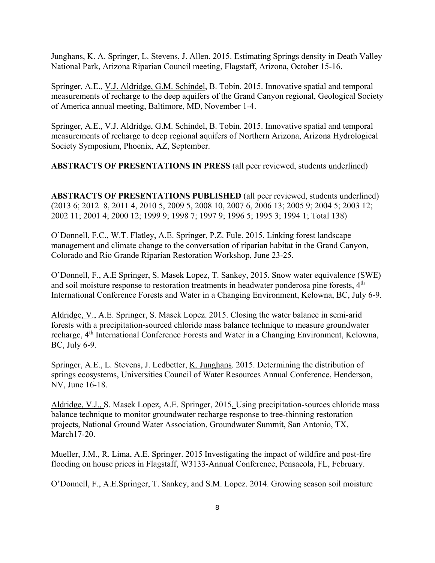Junghans, K. A. Springer, L. Stevens, J. Allen. 2015. Estimating Springs density in Death Valley National Park, Arizona Riparian Council meeting, Flagstaff, Arizona, October 15-16.

Springer, A.E., V.J. Aldridge, G.M. Schindel, B. Tobin. 2015. Innovative spatial and temporal measurements of recharge to the deep aquifers of the Grand Canyon regional, Geological Society of America annual meeting, Baltimore, MD, November 1-4.

Springer, A.E., V.J. Aldridge, G.M. Schindel, B. Tobin. 2015. Innovative spatial and temporal measurements of recharge to deep regional aquifers of Northern Arizona, Arizona Hydrological Society Symposium, Phoenix, AZ, September.

**ABSTRACTS OF PRESENTATIONS IN PRESS** (all peer reviewed, students underlined)

**ABSTRACTS OF PRESENTATIONS PUBLISHED** (all peer reviewed, students underlined) (2013 6; 2012 8, 2011 4, 2010 5, 2009 5, 2008 10, 2007 6, 2006 13; 2005 9; 2004 5; 2003 12; 2002 11; 2001 4; 2000 12; 1999 9; 1998 7; 1997 9; 1996 5; 1995 3; 1994 1; Total 138)

O'Donnell, F.C., W.T. Flatley, A.E. Springer, P.Z. Fule. 2015. Linking forest landscape management and climate change to the conversation of riparian habitat in the Grand Canyon, Colorado and Rio Grande Riparian Restoration Workshop, June 23-25.

O'Donnell, F., A.E Springer, S. Masek Lopez, T. Sankey, 2015. Snow water equivalence (SWE) and soil moisture response to restoration treatments in headwater ponderosa pine forests, 4<sup>th</sup> International Conference Forests and Water in a Changing Environment, Kelowna, BC, July 6-9.

Aldridge, V., A.E. Springer, S. Masek Lopez. 2015. Closing the water balance in semi-arid forests with a precipitation-sourced chloride mass balance technique to measure groundwater recharge, 4<sup>th</sup> International Conference Forests and Water in a Changing Environment, Kelowna, BC, July 6-9.

Springer, A.E., L. Stevens, J. Ledbetter, K. Junghans. 2015. Determining the distribution of springs ecosystems, Universities Council of Water Resources Annual Conference, Henderson, NV, June 16-18.

Aldridge, V.J., S. Masek Lopez, A.E. Springer, 2015. Using precipitation-sources chloride mass balance technique to monitor groundwater recharge response to tree-thinning restoration projects, National Ground Water Association, Groundwater Summit, San Antonio, TX, March17-20.

Mueller, J.M., R. Lima, A.E. Springer. 2015 Investigating the impact of wildfire and post-fire flooding on house prices in Flagstaff, W3133-Annual Conference, Pensacola, FL, February.

O'Donnell, F., A.E.Springer, T. Sankey, and S.M. Lopez. 2014. Growing season soil moisture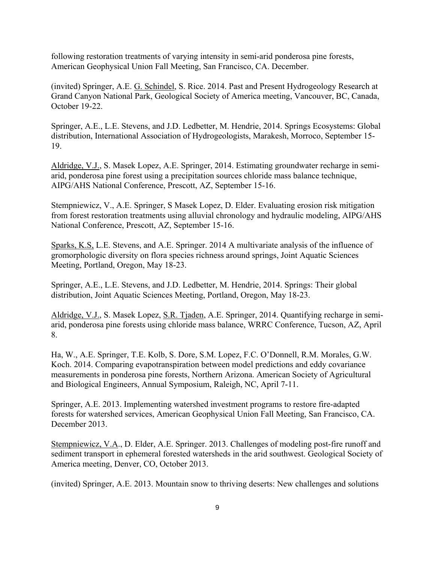following restoration treatments of varying intensity in semi-arid ponderosa pine forests, American Geophysical Union Fall Meeting, San Francisco, CA. December.

(invited) Springer, A.E. G. Schindel, S. Rice. 2014. Past and Present Hydrogeology Research at Grand Canyon National Park, Geological Society of America meeting, Vancouver, BC, Canada, October 19-22.

Springer, A.E., L.E. Stevens, and J.D. Ledbetter, M. Hendrie, 2014. Springs Ecosystems: Global distribution, International Association of Hydrogeologists, Marakesh, Morroco, September 15- 19.

Aldridge, V.J., S. Masek Lopez, A.E. Springer, 2014. Estimating groundwater recharge in semiarid, ponderosa pine forest using a precipitation sources chloride mass balance technique, AIPG/AHS National Conference, Prescott, AZ, September 15-16.

Stempniewicz, V., A.E. Springer, S Masek Lopez, D. Elder. Evaluating erosion risk mitigation from forest restoration treatments using alluvial chronology and hydraulic modeling, AIPG/AHS National Conference, Prescott, AZ, September 15-16.

Sparks, K.S, L.E. Stevens, and A.E. Springer. 2014 A multivariate analysis of the influence of gromorphologic diversity on flora species richness around springs, Joint Aquatic Sciences Meeting, Portland, Oregon, May 18-23.

Springer, A.E., L.E. Stevens, and J.D. Ledbetter, M. Hendrie, 2014. Springs: Their global distribution, Joint Aquatic Sciences Meeting, Portland, Oregon, May 18-23.

Aldridge, V.J., S. Masek Lopez, S.R. Tjaden, A.E. Springer, 2014. Quantifying recharge in semiarid, ponderosa pine forests using chloride mass balance, WRRC Conference, Tucson, AZ, April 8.

Ha, W., A.E. Springer, T.E. Kolb, S. Dore, S.M. Lopez, F.C. O'Donnell, R.M. Morales, G.W. Koch. 2014. Comparing evapotranspiration between model predictions and eddy covariance measurements in ponderosa pine forests, Northern Arizona. American Society of Agricultural and Biological Engineers, Annual Symposium, Raleigh, NC, April 7-11.

Springer, A.E. 2013. Implementing watershed investment programs to restore fire-adapted forests for watershed services, American Geophysical Union Fall Meeting, San Francisco, CA. December 2013.

Stempniewicz, V.A., D. Elder, A.E. Springer. 2013. Challenges of modeling post-fire runoff and sediment transport in ephemeral forested watersheds in the arid southwest. Geological Society of America meeting, Denver, CO, October 2013.

(invited) Springer, A.E. 2013. Mountain snow to thriving deserts: New challenges and solutions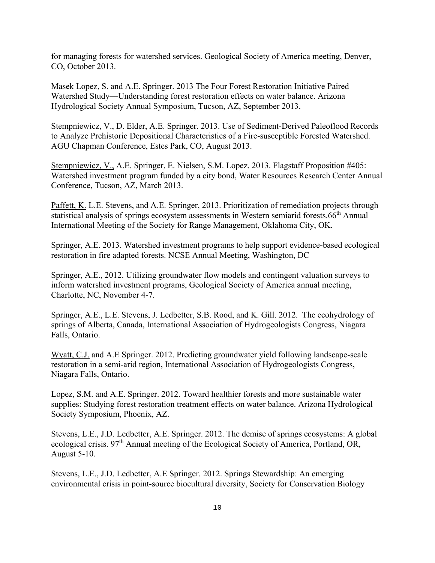for managing forests for watershed services. Geological Society of America meeting, Denver, CO, October 2013.

Masek Lopez, S. and A.E. Springer. 2013 The Four Forest Restoration Initiative Paired Watershed Study—Understanding forest restoration effects on water balance. Arizona Hydrological Society Annual Symposium, Tucson, AZ, September 2013.

Stempniewicz, V., D. Elder, A.E. Springer. 2013. Use of Sediment-Derived Paleoflood Records to Analyze Prehistoric Depositional Characteristics of a Fire-susceptible Forested Watershed. AGU Chapman Conference, Estes Park, CO, August 2013.

Stempniewicz, V., A.E. Springer, E. Nielsen, S.M. Lopez. 2013. Flagstaff Proposition #405: Watershed investment program funded by a city bond, Water Resources Research Center Annual Conference, Tucson, AZ, March 2013.

Paffett, K. L.E. Stevens, and A.E. Springer, 2013. Prioritization of remediation projects through statistical analysis of springs ecosystem assessments in Western semiarid forests.66th Annual International Meeting of the Society for Range Management, Oklahoma City, OK.

Springer, A.E. 2013. Watershed investment programs to help support evidence-based ecological restoration in fire adapted forests. NCSE Annual Meeting, Washington, DC

Springer, A.E., 2012. Utilizing groundwater flow models and contingent valuation surveys to inform watershed investment programs, Geological Society of America annual meeting, Charlotte, NC, November 4-7.

Springer, A.E., L.E. Stevens, J. Ledbetter, S.B. Rood, and K. Gill. 2012. The ecohydrology of springs of Alberta, Canada, International Association of Hydrogeologists Congress, Niagara Falls, Ontario.

Wyatt, C.J. and A.E Springer. 2012. Predicting groundwater yield following landscape-scale restoration in a semi-arid region, International Association of Hydrogeologists Congress, Niagara Falls, Ontario.

Lopez, S.M. and A.E. Springer. 2012. Toward healthier forests and more sustainable water supplies: Studying forest restoration treatment effects on water balance. Arizona Hydrological Society Symposium, Phoenix, AZ.

Stevens, L.E., J.D. Ledbetter, A.E. Springer. 2012. The demise of springs ecosystems: A global ecological crisis. 97th Annual meeting of the Ecological Society of America, Portland, OR, August 5-10.

Stevens, L.E., J.D. Ledbetter, A.E Springer. 2012. Springs Stewardship: An emerging environmental crisis in point-source biocultural diversity, Society for Conservation Biology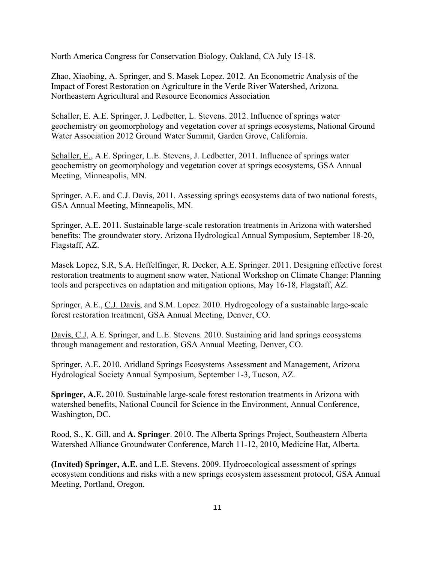North America Congress for Conservation Biology, Oakland, CA July 15-18.

Zhao, Xiaobing, A. Springer, and S. Masek Lopez. 2012. An Econometric Analysis of the Impact of Forest Restoration on Agriculture in the Verde River Watershed, Arizona. Northeastern Agricultural and Resource Economics Association

Schaller, E. A.E. Springer, J. Ledbetter, L. Stevens. 2012. Influence of springs water geochemistry on geomorphology and vegetation cover at springs ecosystems, National Ground Water Association 2012 Ground Water Summit, Garden Grove, California.

Schaller, E., A.E. Springer, L.E. Stevens, J. Ledbetter, 2011. Influence of springs water geochemistry on geomorphology and vegetation cover at springs ecosystems, GSA Annual Meeting, Minneapolis, MN.

Springer, A.E. and C.J. Davis, 2011. Assessing springs ecosystems data of two national forests, GSA Annual Meeting, Minneapolis, MN.

Springer, A.E. 2011. Sustainable large-scale restoration treatments in Arizona with watershed benefits: The groundwater story. Arizona Hydrological Annual Symposium, September 18-20, Flagstaff, AZ.

Masek Lopez, S.R, S.A. Heffelfinger, R. Decker, A.E. Springer. 2011. Designing effective forest restoration treatments to augment snow water, National Workshop on Climate Change: Planning tools and perspectives on adaptation and mitigation options, May 16-18, Flagstaff, AZ.

Springer, A.E., C.J. Davis, and S.M. Lopez. 2010. Hydrogeology of a sustainable large-scale forest restoration treatment, GSA Annual Meeting, Denver, CO.

Davis, C.J, A.E. Springer, and L.E. Stevens. 2010. Sustaining arid land springs ecosystems through management and restoration, GSA Annual Meeting, Denver, CO.

Springer, A.E. 2010. Aridland Springs Ecosystems Assessment and Management, Arizona Hydrological Society Annual Symposium, September 1-3, Tucson, AZ.

**Springer, A.E.** 2010. Sustainable large-scale forest restoration treatments in Arizona with watershed benefits, National Council for Science in the Environment, Annual Conference, Washington, DC.

Rood, S., K. Gill, and **A. Springer**. 2010. The Alberta Springs Project, Southeastern Alberta Watershed Alliance Groundwater Conference, March 11-12, 2010, Medicine Hat, Alberta.

**(Invited) Springer, A.E.** and L.E. Stevens. 2009. Hydroecological assessment of springs ecosystem conditions and risks with a new springs ecosystem assessment protocol, GSA Annual Meeting, Portland, Oregon.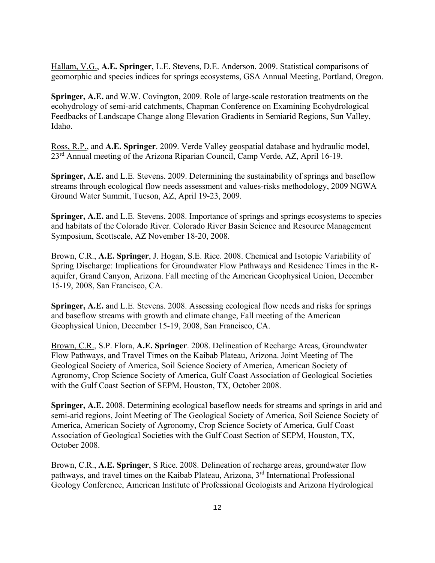Hallam, V.G., **A.E. Springer**, L.E. Stevens, D.E. Anderson. 2009. Statistical comparisons of geomorphic and species indices for springs ecosystems, GSA Annual Meeting, Portland, Oregon.

**Springer, A.E.** and W.W. Covington, 2009. Role of large-scale restoration treatments on the ecohydrology of semi-arid catchments, Chapman Conference on Examining Ecohydrological Feedbacks of Landscape Change along Elevation Gradients in Semiarid Regions, Sun Valley, Idaho.

Ross, R.P., and **A.E. Springer**. 2009. Verde Valley geospatial database and hydraulic model, 23rd Annual meeting of the Arizona Riparian Council, Camp Verde, AZ, April 16-19.

**Springer, A.E.** and L.E. Stevens. 2009. Determining the sustainability of springs and baseflow streams through ecological flow needs assessment and values-risks methodology, 2009 NGWA Ground Water Summit, Tucson, AZ, April 19-23, 2009.

**Springer, A.E.** and L.E. Stevens. 2008. Importance of springs and springs ecosystems to species and habitats of the Colorado River. Colorado River Basin Science and Resource Management Symposium, Scottscale, AZ November 18-20, 2008.

Brown, C.R., **A.E. Springer**, J. Hogan, S.E. Rice. 2008. Chemical and Isotopic Variability of Spring Discharge: Implications for Groundwater Flow Pathways and Residence Times in the Raquifer, Grand Canyon, Arizona. Fall meeting of the American Geophysical Union, December 15-19, 2008, San Francisco, CA.

**Springer, A.E.** and L.E. Stevens. 2008. Assessing ecological flow needs and risks for springs and baseflow streams with growth and climate change, Fall meeting of the American Geophysical Union, December 15-19, 2008, San Francisco, CA.

Brown, C.R., S.P. Flora, **A.E. Springer**. 2008. Delineation of Recharge Areas, Groundwater Flow Pathways, and Travel Times on the Kaibab Plateau, Arizona. Joint Meeting of The Geological Society of America, Soil Science Society of America, American Society of Agronomy, Crop Science Society of America, Gulf Coast Association of Geological Societies with the Gulf Coast Section of SEPM, Houston, TX, October 2008.

**Springer, A.E.** 2008. Determining ecological baseflow needs for streams and springs in arid and semi-arid regions, Joint Meeting of The Geological Society of America, Soil Science Society of America, American Society of Agronomy, Crop Science Society of America, Gulf Coast Association of Geological Societies with the Gulf Coast Section of SEPM, Houston, TX, October 2008.

Brown, C.R., **A.E. Springer**, S Rice. 2008. Delineation of recharge areas, groundwater flow pathways, and travel times on the Kaibab Plateau, Arizona, 3<sup>rd</sup> International Professional Geology Conference, American Institute of Professional Geologists and Arizona Hydrological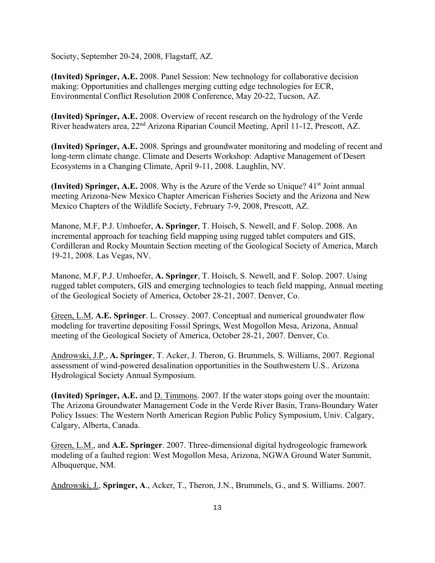Society, September 20-24, 2008, Flagstaff, AZ.

**(Invited) Springer, A.E.** 2008. Panel Session: New technology for collaborative decision making: Opportunities and challenges merging cutting edge technologies for ECR, Environmental Conflict Resolution 2008 Conference, May 20-22, Tucson, AZ.

**(Invited) Springer, A.E.** 2008. Overview of recent research on the hydrology of the Verde River headwaters area, 22nd Arizona Riparian Council Meeting, April 11-12, Prescott, AZ.

**(Invited) Springer, A.E.** 2008. Springs and groundwater monitoring and modeling of recent and long-term climate change. Climate and Deserts Workshop: Adaptive Management of Desert Ecosystems in a Changing Climate, April 9-11, 2008. Laughlin, NV.

**(Invited) Springer, A.E.** 2008. Why is the Azure of the Verde so Unique? 41<sup>st</sup> Joint annual meeting Arizona-New Mexico Chapter American Fisheries Society and the Arizona and New Mexico Chapters of the Wildlife Society, February 7-9, 2008, Prescott, AZ.

Manone, M.F, P.J. Umhoefer, **A. Springer**, T. Hoisch, S. Newell, and F. Solop. 2008. An incremental approach for teaching field mapping using rugged tablet computers and GIS, Cordilleran and Rocky Mountain Section meeting of the Geological Society of America, March 19-21, 2008. Las Vegas, NV.

Manone, M.F, P.J. Umhoefer, **A. Springer**, T. Hoisch, S. Newell, and F. Solop. 2007. Using rugged tablet computers, GIS and emerging technologies to teach field mapping, Annual meeting of the Geological Society of America, October 28-21, 2007. Denver, Co.

Green, L.M, **A.E. Springer**. L. Crossey. 2007. Conceptual and numerical groundwater flow modeling for travertine depositing Fossil Springs, West Mogollon Mesa, Arizona, Annual meeting of the Geological Society of America, October 28-21, 2007. Denver, Co.

Androwski, J.P., **A. Springer**, T. Acker, J. Theron, G. Brummels, S. Williams, 2007. Regional assessment of wind-powered desalination opportunities in the Southwestern U.S.. Arizona Hydrological Society Annual Symposium.

**(Invited) Springer, A.E.** and D. Timmons. 2007. If the water stops going over the mountain: The Arizona Groundwater Management Code in the Verde River Basin, Trans-Boundary Water Policy Issues: The Western North American Region Public Policy Symposium, Univ. Calgary, Calgary, Alberta, Canada.

Green, L.M., and **A.E. Springer**. 2007. Three-dimensional digital hydrogeologic framework modeling of a faulted region: West Mogollon Mesa, Arizona, NGWA Ground Water Summit, Albuquerque, NM.

Androwski, J., **Springer, A**., Acker, T., Theron, J.N., Brummels, G., and S. Williams. 2007.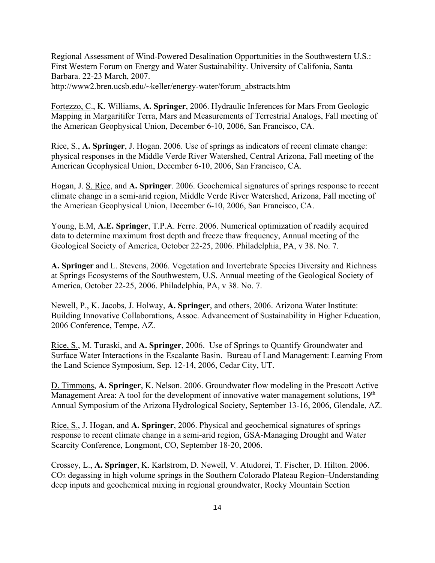Regional Assessment of Wind-Powered Desalination Opportunities in the Southwestern U.S.: First Western Forum on Energy and Water Sustainability. University of Califonia, Santa Barbara. 22-23 March, 2007. http://www2.bren.ucsb.edu/~keller/energy-water/forum\_abstracts.htm

Fortezzo, C., K. Williams, **A. Springer**, 2006. Hydraulic Inferences for Mars From Geologic Mapping in Margaritifer Terra, Mars and Measurements of Terrestrial Analogs, Fall meeting of the American Geophysical Union, December 6-10, 2006, San Francisco, CA.

Rice, S., **A. Springer**, J. Hogan. 2006. Use of springs as indicators of recent climate change: physical responses in the Middle Verde River Watershed, Central Arizona, Fall meeting of the American Geophysical Union, December 6-10, 2006, San Francisco, CA.

Hogan, J. S. Rice, and **A. Springer**. 2006. Geochemical signatures of springs response to recent climate change in a semi-arid region, Middle Verde River Watershed, Arizona, Fall meeting of the American Geophysical Union, December 6-10, 2006, San Francisco, CA.

Young, E.M, **A.E. Springer**, T.P.A. Ferre. 2006. Numerical optimization of readily acquired data to determine maximum frost depth and freeze thaw frequency, Annual meeting of the Geological Society of America, October 22-25, 2006. Philadelphia, PA, v 38. No. 7.

**A. Springer** and L. Stevens, 2006. Vegetation and Invertebrate Species Diversity and Richness at Springs Ecosystems of the Southwestern, U.S. Annual meeting of the Geological Society of America, October 22-25, 2006. Philadelphia, PA, v 38. No. 7.

Newell, P., K. Jacobs, J. Holway, **A. Springer**, and others, 2006. Arizona Water Institute: Building Innovative Collaborations, Assoc. Advancement of Sustainability in Higher Education, 2006 Conference, Tempe, AZ.

Rice, S., M. Turaski, and **A. Springer**, 2006. Use of Springs to Quantify Groundwater and Surface Water Interactions in the Escalante Basin. Bureau of Land Management: Learning From the Land Science Symposium, Sep. 12-14, 2006, Cedar City, UT.

D. Timmons, **A. Springer**, K. Nelson. 2006. Groundwater flow modeling in the Prescott Active Management Area: A tool for the development of innovative water management solutions, 19<sup>th</sup> Annual Symposium of the Arizona Hydrological Society, September 13-16, 2006, Glendale, AZ.

Rice, S., J. Hogan, and **A. Springer**, 2006. Physical and geochemical signatures of springs response to recent climate change in a semi-arid region, GSA-Managing Drought and Water Scarcity Conference, Longmont, CO, September 18-20, 2006.

Crossey, L., **A. Springer**, K. Karlstrom, D. Newell, V. Atudorei, T. Fischer, D. Hilton. 2006. CO2 degassing in high volume springs in the Southern Colorado Plateau Region–Understanding deep inputs and geochemical mixing in regional groundwater, Rocky Mountain Section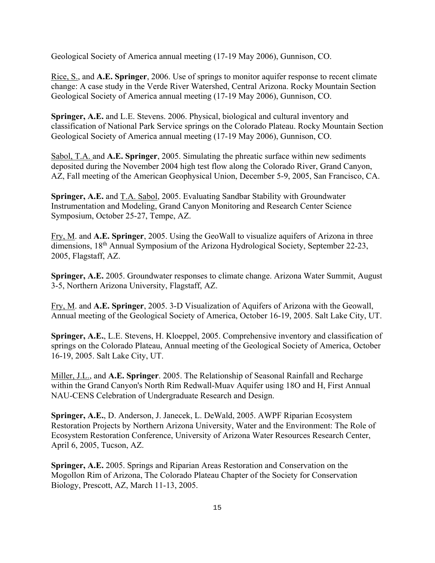Geological Society of America annual meeting (17-19 May 2006), Gunnison, CO.

Rice, S., and **A.E. Springer**, 2006. Use of springs to monitor aquifer response to recent climate change: A case study in the Verde River Watershed, Central Arizona. Rocky Mountain Section Geological Society of America annual meeting (17-19 May 2006), Gunnison, CO.

**Springer, A.E.** and L.E. Stevens. 2006. Physical, biological and cultural inventory and classification of National Park Service springs on the Colorado Plateau. Rocky Mountain Section Geological Society of America annual meeting (17-19 May 2006), Gunnison, CO.

Sabol, T.A. and **A.E. Springer**, 2005. Simulating the phreatic surface within new sediments deposited during the November 2004 high test flow along the Colorado River, Grand Canyon, AZ, Fall meeting of the American Geophysical Union, December 5-9, 2005, San Francisco, CA.

**Springer, A.E.** and T.A. Sabol, 2005. Evaluating Sandbar Stability with Groundwater Instrumentation and Modeling, Grand Canyon Monitoring and Research Center Science Symposium, October 25-27, Tempe, AZ.

Fry, M. and **A.E. Springer**, 2005. Using the GeoWall to visualize aquifers of Arizona in three dimensions, 18<sup>th</sup> Annual Symposium of the Arizona Hydrological Society, September 22-23, 2005, Flagstaff, AZ.

**Springer, A.E.** 2005. Groundwater responses to climate change. Arizona Water Summit, August 3-5, Northern Arizona University, Flagstaff, AZ.

Fry, M. and **A.E. Springer**, 2005. 3-D Visualization of Aquifers of Arizona with the Geowall, Annual meeting of the Geological Society of America, October 16-19, 2005. Salt Lake City, UT.

**Springer, A.E.**, L.E. Stevens, H. Kloeppel, 2005. Comprehensive inventory and classification of springs on the Colorado Plateau, Annual meeting of the Geological Society of America, October 16-19, 2005. Salt Lake City, UT.

Miller, J.L., and **A.E. Springer**. 2005. The Relationship of Seasonal Rainfall and Recharge within the Grand Canyon's North Rim Redwall-Muav Aquifer using 18O and H, First Annual NAU-CENS Celebration of Undergraduate Research and Design.

**Springer, A.E.**, D. Anderson, J. Janecek, L. DeWald, 2005. AWPF Riparian Ecosystem Restoration Projects by Northern Arizona University, Water and the Environment: The Role of Ecosystem Restoration Conference, University of Arizona Water Resources Research Center, April 6, 2005, Tucson, AZ.

**Springer, A.E.** 2005. Springs and Riparian Areas Restoration and Conservation on the Mogollon Rim of Arizona, The Colorado Plateau Chapter of the Society for Conservation Biology, Prescott, AZ, March 11-13, 2005.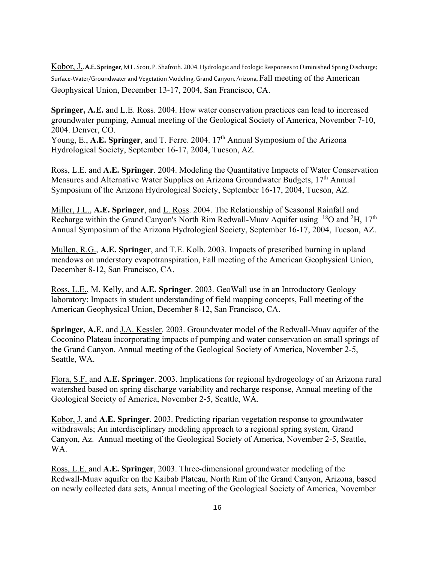Kobor, J., **A.E. Springer**, M.L. Scott, P. Shafroth. 2004. Hydrologic and Ecologic Responses to Diminished Spring Discharge; Surface-Water/Groundwater and Vegetation Modeling, Grand Canyon, Arizona, Fall meeting of the American Geophysical Union, December 13-17, 2004, San Francisco, CA.

**Springer, A.E.** and L.E. Ross. 2004. How water conservation practices can lead to increased groundwater pumping, Annual meeting of the Geological Society of America, November 7-10, 2004. Denver, CO.

Young, E., A.E. Springer, and T. Ferre. 2004. 17<sup>th</sup> Annual Symposium of the Arizona Hydrological Society, September 16-17, 2004, Tucson, AZ.

Ross, L.E. and **A.E. Springer**. 2004. Modeling the Quantitative Impacts of Water Conservation Measures and Alternative Water Supplies on Arizona Groundwater Budgets,  $17<sup>th</sup>$  Annual Symposium of the Arizona Hydrological Society, September 16-17, 2004, Tucson, AZ.

Miller, J.L., **A.E. Springer**, and L. Ross. 2004. The Relationship of Seasonal Rainfall and Recharge within the Grand Canyon's North Rim Redwall-Muav Aquifer using  $^{18}O$  and  $^{2}H$ , 17<sup>th</sup> Annual Symposium of the Arizona Hydrological Society, September 16-17, 2004, Tucson, AZ.

Mullen, R.G., **A.E. Springer**, and T.E. Kolb. 2003. Impacts of prescribed burning in upland meadows on understory evapotranspiration, Fall meeting of the American Geophysical Union, December 8-12, San Francisco, CA.

Ross, L.E., M. Kelly, and **A.E. Springer**. 2003. GeoWall use in an Introductory Geology laboratory: Impacts in student understanding of field mapping concepts, Fall meeting of the American Geophysical Union, December 8-12, San Francisco, CA.

**Springer, A.E.** and J.A. Kessler. 2003. Groundwater model of the Redwall-Muav aquifer of the Coconino Plateau incorporating impacts of pumping and water conservation on small springs of the Grand Canyon. Annual meeting of the Geological Society of America, November 2-5, Seattle, WA.

Flora, S.F. and **A.E. Springer**. 2003. Implications for regional hydrogeology of an Arizona rural watershed based on spring discharge variability and recharge response, Annual meeting of the Geological Society of America, November 2-5, Seattle, WA.

Kobor, J. and **A.E. Springer**. 2003. Predicting riparian vegetation response to groundwater withdrawals; An interdisciplinary modeling approach to a regional spring system, Grand Canyon, Az. Annual meeting of the Geological Society of America, November 2-5, Seattle, WA.

Ross, L.E. and **A.E. Springer**, 2003. Three-dimensional groundwater modeling of the Redwall-Muav aquifer on the Kaibab Plateau, North Rim of the Grand Canyon, Arizona, based on newly collected data sets, Annual meeting of the Geological Society of America, November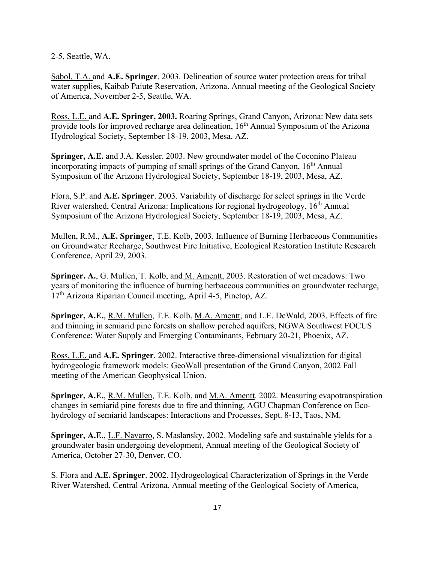2-5, Seattle, WA.

Sabol, T.A. and **A.E. Springer**. 2003. Delineation of source water protection areas for tribal water supplies, Kaibab Paiute Reservation, Arizona. Annual meeting of the Geological Society of America, November 2-5, Seattle, WA.

Ross, L.E. and **A.E. Springer, 2003.** Roaring Springs, Grand Canyon, Arizona: New data sets provide tools for improved recharge area delineation, 16th Annual Symposium of the Arizona Hydrological Society, September 18-19, 2003, Mesa, AZ.

**Springer, A.E.** and J.A. Kessler. 2003. New groundwater model of the Coconino Plateau incorporating impacts of pumping of small springs of the Grand Canyon, 16<sup>th</sup> Annual Symposium of the Arizona Hydrological Society, September 18-19, 2003, Mesa, AZ.

Flora, S.P. and **A.E. Springer**. 2003. Variability of discharge for select springs in the Verde River watershed, Central Arizona: Implications for regional hydrogeology, 16th Annual Symposium of the Arizona Hydrological Society, September 18-19, 2003, Mesa, AZ.

Mullen, R.M., **A.E. Springer**, T.E. Kolb, 2003. Influence of Burning Herbaceous Communities on Groundwater Recharge, Southwest Fire Initiative, Ecological Restoration Institute Research Conference, April 29, 2003.

**Springer. A.**, G. Mullen, T. Kolb, and M. Amentt, 2003. Restoration of wet meadows: Two years of monitoring the influence of burning herbaceous communities on groundwater recharge, 17th Arizona Riparian Council meeting, April 4-5, Pinetop, AZ.

**Springer, A.E.**, R.M. Mullen, T.E. Kolb, M.A. Amentt, and L.E. DeWald, 2003. Effects of fire and thinning in semiarid pine forests on shallow perched aquifers, NGWA Southwest FOCUS Conference: Water Supply and Emerging Contaminants, February 20-21, Phoenix, AZ.

Ross, L.E. and **A.E. Springer**. 2002. Interactive three-dimensional visualization for digital hydrogeologic framework models: GeoWall presentation of the Grand Canyon, 2002 Fall meeting of the American Geophysical Union.

**Springer, A.E.**, R.M. Mullen, T.E. Kolb, and M.A. Amentt. 2002. Measuring evapotranspiration changes in semiarid pine forests due to fire and thinning, AGU Chapman Conference on Ecohydrology of semiarid landscapes: Interactions and Processes, Sept. 8-13, Taos, NM.

**Springer, A.E**., L.F. Navarro, S. Maslansky, 2002. Modeling safe and sustainable yields for a groundwater basin undergoing development, Annual meeting of the Geological Society of America, October 27-30, Denver, CO.

S. Flora and **A.E. Springer**. 2002. Hydrogeological Characterization of Springs in the Verde River Watershed, Central Arizona, Annual meeting of the Geological Society of America,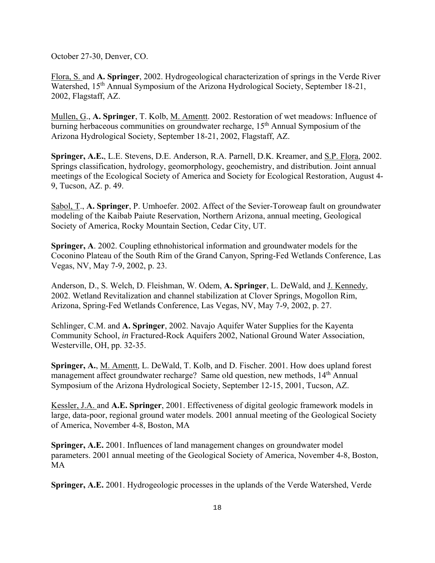October 27-30, Denver, CO.

Flora, S. and **A. Springer**, 2002. Hydrogeological characterization of springs in the Verde River Watershed, 15<sup>th</sup> Annual Symposium of the Arizona Hydrological Society, September 18-21, 2002, Flagstaff, AZ.

Mullen, G., **A. Springer**, T. Kolb, M. Amentt. 2002. Restoration of wet meadows: Influence of burning herbaceous communities on groundwater recharge, 15<sup>th</sup> Annual Symposium of the Arizona Hydrological Society, September 18-21, 2002, Flagstaff, AZ.

**Springer, A.E.**, L.E. Stevens, D.E. Anderson, R.A. Parnell, D.K. Kreamer, and S.P. Flora, 2002. Springs classification, hydrology, geomorphology, geochemistry, and distribution. Joint annual meetings of the Ecological Society of America and Society for Ecological Restoration, August 4- 9, Tucson, AZ. p. 49.

Sabol, T., **A. Springer**, P. Umhoefer. 2002. Affect of the Sevier-Toroweap fault on groundwater modeling of the Kaibab Paiute Reservation, Northern Arizona, annual meeting, Geological Society of America, Rocky Mountain Section, Cedar City, UT.

**Springer, A**. 2002. Coupling ethnohistorical information and groundwater models for the Coconino Plateau of the South Rim of the Grand Canyon, Spring-Fed Wetlands Conference, Las Vegas, NV, May 7-9, 2002, p. 23.

Anderson, D., S. Welch, D. Fleishman, W. Odem, **A. Springer**, L. DeWald, and J. Kennedy, 2002. Wetland Revitalization and channel stabilization at Clover Springs, Mogollon Rim, Arizona, Spring-Fed Wetlands Conference, Las Vegas, NV, May 7-9, 2002, p. 27.

Schlinger, C.M. and **A. Springer**, 2002. Navajo Aquifer Water Supplies for the Kayenta Community School, *in* Fractured-Rock Aquifers 2002, National Ground Water Association, Westerville, OH, pp. 32-35.

**Springer, A.**, M. Amentt, L. DeWald, T. Kolb, and D. Fischer. 2001. How does upland forest management affect groundwater recharge? Same old question, new methods, 14<sup>th</sup> Annual Symposium of the Arizona Hydrological Society, September 12-15, 2001, Tucson, AZ.

Kessler, J.A. and **A.E. Springer**, 2001. Effectiveness of digital geologic framework models in large, data-poor, regional ground water models. 2001 annual meeting of the Geological Society of America, November 4-8, Boston, MA

**Springer, A.E.** 2001. Influences of land management changes on groundwater model parameters. 2001 annual meeting of the Geological Society of America, November 4-8, Boston, MA

**Springer, A.E.** 2001. Hydrogeologic processes in the uplands of the Verde Watershed, Verde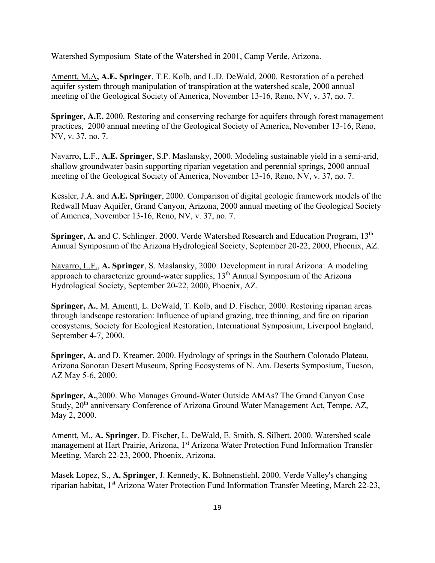Watershed Symposium–State of the Watershed in 2001, Camp Verde, Arizona.

Amentt, M.A**, A.E. Springer**, T.E. Kolb, and L.D. DeWald, 2000. Restoration of a perched aquifer system through manipulation of transpiration at the watershed scale, 2000 annual meeting of the Geological Society of America, November 13-16, Reno, NV, v. 37, no. 7.

**Springer, A.E.** 2000. Restoring and conserving recharge for aquifers through forest management practices, 2000 annual meeting of the Geological Society of America, November 13-16, Reno, NV, v. 37, no. 7.

Navarro, L.F., **A.E. Springer**, S.P. Maslansky, 2000. Modeling sustainable yield in a semi-arid, shallow groundwater basin supporting riparian vegetation and perennial springs, 2000 annual meeting of the Geological Society of America, November 13-16, Reno, NV, v. 37, no. 7.

Kessler, J.A. and **A.E. Springer**, 2000. Comparison of digital geologic framework models of the Redwall Muav Aquifer, Grand Canyon, Arizona, 2000 annual meeting of the Geological Society of America, November 13-16, Reno, NV, v. 37, no. 7.

**Springer, A.** and C. Schlinger. 2000. Verde Watershed Research and Education Program, 13<sup>th</sup> Annual Symposium of the Arizona Hydrological Society, September 20-22, 2000, Phoenix, AZ.

Navarro, L.F., **A. Springer**, S. Maslansky, 2000. Development in rural Arizona: A modeling approach to characterize ground-water supplies, 13<sup>th</sup> Annual Symposium of the Arizona Hydrological Society, September 20-22, 2000, Phoenix, AZ.

**Springer, A.**, M. Amentt, L. DeWald, T. Kolb, and D. Fischer, 2000. Restoring riparian areas through landscape restoration: Influence of upland grazing, tree thinning, and fire on riparian ecosystems, Society for Ecological Restoration, International Symposium, Liverpool England, September 4-7, 2000.

**Springer, A.** and D. Kreamer, 2000. Hydrology of springs in the Southern Colorado Plateau, Arizona Sonoran Desert Museum, Spring Ecosystems of N. Am. Deserts Symposium, Tucson, AZ May 5-6, 2000.

**Springer, A.**,2000. Who Manages Ground-Water Outside AMAs? The Grand Canyon Case Study, 20<sup>th</sup> anniversary Conference of Arizona Ground Water Management Act, Tempe, AZ, May 2, 2000.

Amentt, M., **A. Springer**, D. Fischer, L. DeWald, E. Smith, S. Silbert. 2000. Watershed scale management at Hart Prairie, Arizona, 1<sup>st</sup> Arizona Water Protection Fund Information Transfer Meeting, March 22-23, 2000, Phoenix, Arizona.

Masek Lopez, S., **A. Springer**, J. Kennedy, K. Bohnenstiehl, 2000. Verde Valley's changing riparian habitat, 1st Arizona Water Protection Fund Information Transfer Meeting, March 22-23,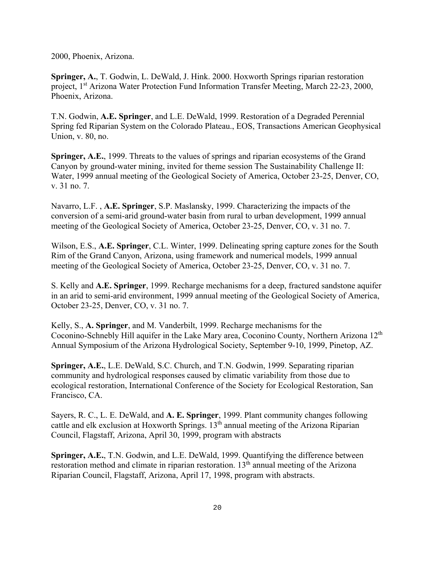2000, Phoenix, Arizona.

**Springer, A.**, T. Godwin, L. DeWald, J. Hink. 2000. Hoxworth Springs riparian restoration project, 1<sup>st</sup> Arizona Water Protection Fund Information Transfer Meeting, March 22-23, 2000, Phoenix, Arizona.

T.N. Godwin, **A.E. Springer**, and L.E. DeWald, 1999. Restoration of a Degraded Perennial Spring fed Riparian System on the Colorado Plateau., EOS, Transactions American Geophysical Union, v. 80, no.

**Springer, A.E.**, 1999. Threats to the values of springs and riparian ecosystems of the Grand Canyon by ground-water mining, invited for theme session The Sustainability Challenge II: Water, 1999 annual meeting of the Geological Society of America, October 23-25, Denver, CO, v. 31 no. 7.

Navarro, L.F. , **A.E. Springer**, S.P. Maslansky, 1999. Characterizing the impacts of the conversion of a semi-arid ground-water basin from rural to urban development, 1999 annual meeting of the Geological Society of America, October 23-25, Denver, CO, v. 31 no. 7.

Wilson, E.S., **A.E. Springer**, C.L. Winter, 1999. Delineating spring capture zones for the South Rim of the Grand Canyon, Arizona, using framework and numerical models, 1999 annual meeting of the Geological Society of America, October 23-25, Denver, CO, v. 31 no. 7.

S. Kelly and **A.E. Springer**, 1999. Recharge mechanisms for a deep, fractured sandstone aquifer in an arid to semi-arid environment, 1999 annual meeting of the Geological Society of America, October 23-25, Denver, CO, v. 31 no. 7.

Kelly, S., **A. Springer**, and M. Vanderbilt, 1999. Recharge mechanisms for the Coconino-Schnebly Hill aquifer in the Lake Mary area, Coconino County, Northern Arizona 12th Annual Symposium of the Arizona Hydrological Society, September 9-10, 1999, Pinetop, AZ.

**Springer, A.E.**, L.E. DeWald, S.C. Church, and T.N. Godwin, 1999. Separating riparian community and hydrological responses caused by climatic variability from those due to ecological restoration, International Conference of the Society for Ecological Restoration, San Francisco, CA.

Sayers, R. C., L. E. DeWald, and **A. E. Springer**, 1999. Plant community changes following cattle and elk exclusion at Hoxworth Springs. 13<sup>th</sup> annual meeting of the Arizona Riparian Council, Flagstaff, Arizona, April 30, 1999, program with abstracts

**Springer, A.E.**, T.N. Godwin, and L.E. DeWald, 1999. Quantifying the difference between restoration method and climate in riparian restoration.  $13<sup>th</sup>$  annual meeting of the Arizona Riparian Council, Flagstaff, Arizona, April 17, 1998, program with abstracts.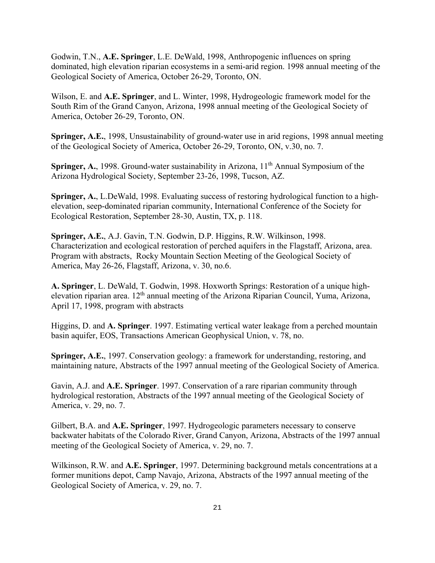Godwin, T.N., **A.E. Springer**, L.E. DeWald, 1998, Anthropogenic influences on spring dominated, high elevation riparian ecosystems in a semi-arid region. 1998 annual meeting of the Geological Society of America, October 26-29, Toronto, ON.

Wilson, E. and **A.E. Springer**, and L. Winter, 1998, Hydrogeologic framework model for the South Rim of the Grand Canyon, Arizona, 1998 annual meeting of the Geological Society of America, October 26-29, Toronto, ON.

**Springer, A.E.**, 1998, Unsustainability of ground-water use in arid regions, 1998 annual meeting of the Geological Society of America, October 26-29, Toronto, ON, v.30, no. 7.

**Springer, A.**, 1998. Ground-water sustainability in Arizona, 11<sup>th</sup> Annual Symposium of the Arizona Hydrological Society, September 23-26, 1998, Tucson, AZ.

**Springer, A.**, L.DeWald, 1998. Evaluating success of restoring hydrological function to a highelevation, seep-dominated riparian community, International Conference of the Society for Ecological Restoration, September 28-30, Austin, TX, p. 118.

**Springer, A.E.**, A.J. Gavin, T.N. Godwin, D.P. Higgins, R.W. Wilkinson, 1998. Characterization and ecological restoration of perched aquifers in the Flagstaff, Arizona, area. Program with abstracts, Rocky Mountain Section Meeting of the Geological Society of America, May 26-26, Flagstaff, Arizona, v. 30, no.6.

**A. Springer**, L. DeWald, T. Godwin, 1998. Hoxworth Springs: Restoration of a unique highelevation riparian area. 12<sup>th</sup> annual meeting of the Arizona Riparian Council, Yuma, Arizona, April 17, 1998, program with abstracts

Higgins, D. and **A. Springer**. 1997. Estimating vertical water leakage from a perched mountain basin aquifer, EOS, Transactions American Geophysical Union, v. 78, no.

**Springer, A.E.**, 1997. Conservation geology: a framework for understanding, restoring, and maintaining nature, Abstracts of the 1997 annual meeting of the Geological Society of America.

Gavin, A.J. and **A.E. Springer**. 1997. Conservation of a rare riparian community through hydrological restoration, Abstracts of the 1997 annual meeting of the Geological Society of America, v. 29, no. 7.

Gilbert, B.A. and **A.E. Springer**, 1997. Hydrogeologic parameters necessary to conserve backwater habitats of the Colorado River, Grand Canyon, Arizona, Abstracts of the 1997 annual meeting of the Geological Society of America, v. 29, no. 7.

Wilkinson, R.W. and **A.E. Springer**, 1997. Determining background metals concentrations at a former munitions depot, Camp Navajo, Arizona, Abstracts of the 1997 annual meeting of the Geological Society of America, v. 29, no. 7.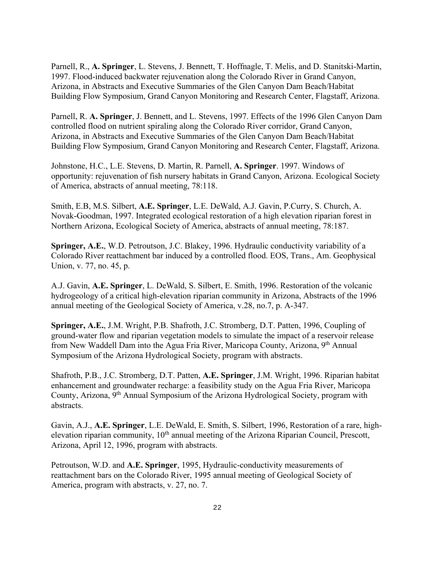Parnell, R., **A. Springer**, L. Stevens, J. Bennett, T. Hoffnagle, T. Melis, and D. Stanitski-Martin, 1997. Flood-induced backwater rejuvenation along the Colorado River in Grand Canyon, Arizona, in Abstracts and Executive Summaries of the Glen Canyon Dam Beach/Habitat Building Flow Symposium, Grand Canyon Monitoring and Research Center, Flagstaff, Arizona.

Parnell, R. **A. Springer**, J. Bennett, and L. Stevens, 1997. Effects of the 1996 Glen Canyon Dam controlled flood on nutrient spiraling along the Colorado River corridor, Grand Canyon, Arizona, in Abstracts and Executive Summaries of the Glen Canyon Dam Beach/Habitat Building Flow Symposium, Grand Canyon Monitoring and Research Center, Flagstaff, Arizona.

Johnstone, H.C., L.E. Stevens, D. Martin, R. Parnell, **A. Springer**. 1997. Windows of opportunity: rejuvenation of fish nursery habitats in Grand Canyon, Arizona. Ecological Society of America, abstracts of annual meeting, 78:118.

Smith, E.B, M.S. Silbert, **A.E. Springer**, L.E. DeWald, A.J. Gavin, P.Curry, S. Church, A. Novak-Goodman, 1997. Integrated ecological restoration of a high elevation riparian forest in Northern Arizona, Ecological Society of America, abstracts of annual meeting, 78:187.

**Springer, A.E.**, W.D. Petroutson, J.C. Blakey, 1996. Hydraulic conductivity variability of a Colorado River reattachment bar induced by a controlled flood. EOS, Trans., Am. Geophysical Union, v. 77, no. 45, p.

A.J. Gavin, **A.E. Springer**, L. DeWald, S. Silbert, E. Smith, 1996. Restoration of the volcanic hydrogeology of a critical high-elevation riparian community in Arizona, Abstracts of the 1996 annual meeting of the Geological Society of America, v.28, no.7, p. A-347.

**Springer, A.E.**, J.M. Wright, P.B. Shafroth, J.C. Stromberg, D.T. Patten, 1996, Coupling of ground-water flow and riparian vegetation models to simulate the impact of a reservoir release from New Waddell Dam into the Agua Fria River, Maricopa County, Arizona, 9th Annual Symposium of the Arizona Hydrological Society, program with abstracts.

Shafroth, P.B., J.C. Stromberg, D.T. Patten, **A.E. Springer**, J.M. Wright, 1996. Riparian habitat enhancement and groundwater recharge: a feasibility study on the Agua Fria River, Maricopa County, Arizona, 9th Annual Symposium of the Arizona Hydrological Society, program with abstracts.

Gavin, A.J., **A.E. Springer**, L.E. DeWald, E. Smith, S. Silbert, 1996, Restoration of a rare, highelevation riparian community, 10<sup>th</sup> annual meeting of the Arizona Riparian Council, Prescott, Arizona, April 12, 1996, program with abstracts.

Petroutson, W.D. and **A.E. Springer**, 1995, Hydraulic-conductivity measurements of reattachment bars on the Colorado River, 1995 annual meeting of Geological Society of America, program with abstracts, v. 27, no. 7.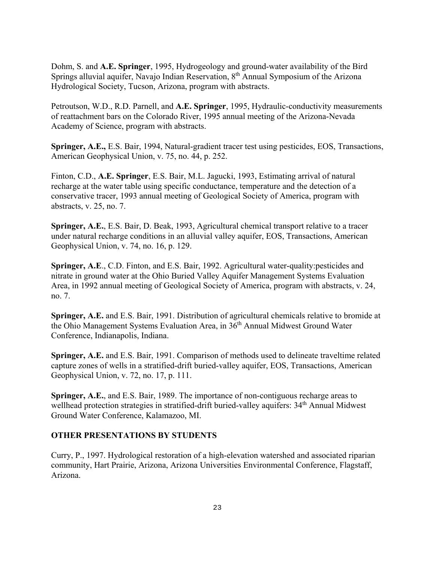Dohm, S. and **A.E. Springer**, 1995, Hydrogeology and ground-water availability of the Bird Springs alluvial aquifer, Navajo Indian Reservation, 8<sup>th</sup> Annual Symposium of the Arizona Hydrological Society, Tucson, Arizona, program with abstracts.

Petroutson, W.D., R.D. Parnell, and **A.E. Springer**, 1995, Hydraulic-conductivity measurements of reattachment bars on the Colorado River, 1995 annual meeting of the Arizona-Nevada Academy of Science, program with abstracts.

**Springer, A.E.,** E.S. Bair, 1994, Natural-gradient tracer test using pesticides, EOS, Transactions, American Geophysical Union, v. 75, no. 44, p. 252.

Finton, C.D., **A.E. Springer**, E.S. Bair, M.L. Jagucki, 1993, Estimating arrival of natural recharge at the water table using specific conductance, temperature and the detection of a conservative tracer, 1993 annual meeting of Geological Society of America, program with abstracts, v. 25, no. 7.

**Springer, A.E.**, E.S. Bair, D. Beak, 1993, Agricultural chemical transport relative to a tracer under natural recharge conditions in an alluvial valley aquifer, EOS, Transactions, American Geophysical Union, v. 74, no. 16, p. 129.

**Springer, A.E**., C.D. Finton, and E.S. Bair, 1992. Agricultural water-quality:pesticides and nitrate in ground water at the Ohio Buried Valley Aquifer Management Systems Evaluation Area, in 1992 annual meeting of Geological Society of America, program with abstracts, v. 24, no. 7.

**Springer, A.E.** and E.S. Bair, 1991. Distribution of agricultural chemicals relative to bromide at the Ohio Management Systems Evaluation Area, in 36<sup>th</sup> Annual Midwest Ground Water Conference, Indianapolis, Indiana.

**Springer, A.E.** and E.S. Bair, 1991. Comparison of methods used to delineate traveltime related capture zones of wells in a stratified-drift buried-valley aquifer, EOS, Transactions, American Geophysical Union, v. 72, no. 17, p. 111.

**Springer, A.E.**, and E.S. Bair, 1989. The importance of non-contiguous recharge areas to wellhead protection strategies in stratified-drift buried-valley aquifers: 34<sup>th</sup> Annual Midwest Ground Water Conference, Kalamazoo, MI.

#### **OTHER PRESENTATIONS BY STUDENTS**

Curry, P., 1997. Hydrological restoration of a high-elevation watershed and associated riparian community, Hart Prairie, Arizona, Arizona Universities Environmental Conference, Flagstaff, Arizona.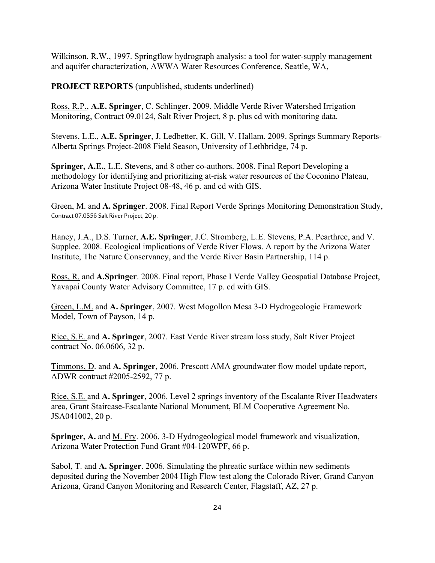Wilkinson, R.W., 1997. Springflow hydrograph analysis: a tool for water-supply management and aquifer characterization, AWWA Water Resources Conference, Seattle, WA,

**PROJECT REPORTS** (unpublished, students underlined)

Ross, R.P., **A.E. Springer**, C. Schlinger. 2009. Middle Verde River Watershed Irrigation Monitoring, Contract 09.0124, Salt River Project, 8 p. plus cd with monitoring data.

Stevens, L.E., **A.E. Springer**, J. Ledbetter, K. Gill, V. Hallam. 2009. Springs Summary Reports-Alberta Springs Project-2008 Field Season, University of Lethbridge, 74 p.

**Springer, A.E.**, L.E. Stevens, and 8 other co-authors. 2008. Final Report Developing a methodology for identifying and prioritizing at-risk water resources of the Coconino Plateau, Arizona Water Institute Project 08-48, 46 p. and cd with GIS.

Green, M. and **A. Springer**. 2008. Final Report Verde Springs Monitoring Demonstration Study, Contract 07.0556 Salt River Project, 20 p.

Haney, J.A., D.S. Turner, **A.E. Springer**, J.C. Stromberg, L.E. Stevens, P.A. Pearthree, and V. Supplee. 2008. Ecological implications of Verde River Flows. A report by the Arizona Water Institute, The Nature Conservancy, and the Verde River Basin Partnership, 114 p.

Ross, R. and **A.Springer**. 2008. Final report, Phase I Verde Valley Geospatial Database Project, Yavapai County Water Advisory Committee, 17 p. cd with GIS.

Green, L.M. and **A. Springer**, 2007. West Mogollon Mesa 3-D Hydrogeologic Framework Model, Town of Payson, 14 p.

Rice, S.E. and **A. Springer**, 2007. East Verde River stream loss study, Salt River Project contract No. 06.0606, 32 p.

Timmons, D. and **A. Springer**, 2006. Prescott AMA groundwater flow model update report, ADWR contract #2005-2592, 77 p.

Rice, S.E. and **A. Springer**, 2006. Level 2 springs inventory of the Escalante River Headwaters area, Grant Staircase-Escalante National Monument, BLM Cooperative Agreement No. JSA041002, 20 p.

**Springer, A.** and M. Fry. 2006. 3-D Hydrogeological model framework and visualization, Arizona Water Protection Fund Grant #04-120WPF, 66 p.

Sabol, T. and **A. Springer**. 2006. Simulating the phreatic surface within new sediments deposited during the November 2004 High Flow test along the Colorado River, Grand Canyon Arizona, Grand Canyon Monitoring and Research Center, Flagstaff, AZ, 27 p.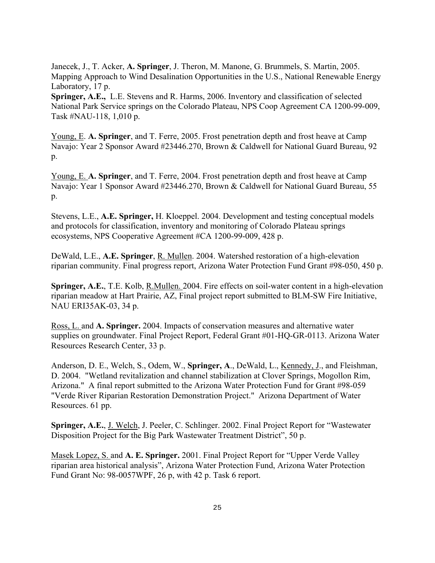Janecek, J., T. Acker, **A. Springer**, J. Theron, M. Manone, G. Brummels, S. Martin, 2005. Mapping Approach to Wind Desalination Opportunities in the U.S., National Renewable Energy Laboratory, 17 p.

**Springer, A.E.,** L.E. Stevens and R. Harms, 2006. Inventory and classification of selected National Park Service springs on the Colorado Plateau, NPS Coop Agreement CA 1200-99-009, Task #NAU-118, 1,010 p.

Young, E. **A. Springer**, and T. Ferre, 2005. Frost penetration depth and frost heave at Camp Navajo: Year 2 Sponsor Award #23446.270, Brown & Caldwell for National Guard Bureau, 92 p.

Young, E. **A. Springer**, and T. Ferre, 2004. Frost penetration depth and frost heave at Camp Navajo: Year 1 Sponsor Award #23446.270, Brown & Caldwell for National Guard Bureau, 55  $p_{\cdot}$ 

Stevens, L.E., **A.E. Springer,** H. Kloeppel. 2004. Development and testing conceptual models and protocols for classification, inventory and monitoring of Colorado Plateau springs ecosystems, NPS Cooperative Agreement #CA 1200-99-009, 428 p.

DeWald, L.E., **A.E. Springer**, R. Mullen. 2004. Watershed restoration of a high-elevation riparian community. Final progress report, Arizona Water Protection Fund Grant #98-050, 450 p.

**Springer, A.E.**, T.E. Kolb, R.Mullen. 2004. Fire effects on soil-water content in a high-elevation riparian meadow at Hart Prairie, AZ, Final project report submitted to BLM-SW Fire Initiative, NAU ERI35AK-03, 34 p.

Ross, L. and **A. Springer.** 2004. Impacts of conservation measures and alternative water supplies on groundwater. Final Project Report, Federal Grant #01-HQ-GR-0113. Arizona Water Resources Research Center, 33 p.

Anderson, D. E., Welch, S., Odem, W., **Springer, A**., DeWald, L., Kennedy, J., and Fleishman, D. 2004. "Wetland revitalization and channel stabilization at Clover Springs, Mogollon Rim, Arizona." A final report submitted to the Arizona Water Protection Fund for Grant #98-059 "Verde River Riparian Restoration Demonstration Project." Arizona Department of Water Resources. 61 pp.

**Springer, A.E.**, J. Welch, J. Peeler, C. Schlinger. 2002. Final Project Report for "Wastewater Disposition Project for the Big Park Wastewater Treatment District", 50 p.

Masek Lopez, S. and **A. E. Springer.** 2001. Final Project Report for "Upper Verde Valley riparian area historical analysis", Arizona Water Protection Fund, Arizona Water Protection Fund Grant No: 98-0057WPF, 26 p, with 42 p. Task 6 report.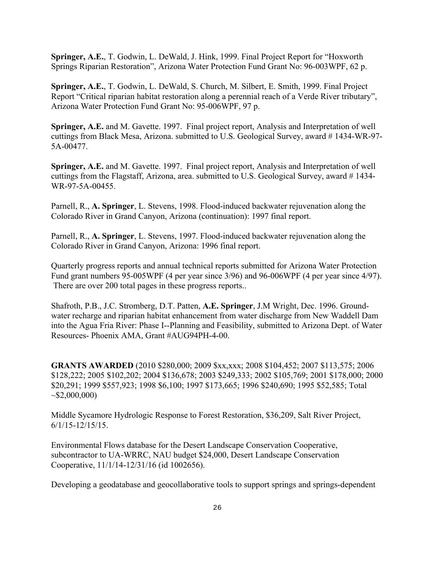**Springer, A.E.**, T. Godwin, L. DeWald, J. Hink, 1999. Final Project Report for "Hoxworth Springs Riparian Restoration", Arizona Water Protection Fund Grant No: 96-003WPF, 62 p.

**Springer, A.E.**, T. Godwin, L. DeWald, S. Church, M. Silbert, E. Smith, 1999. Final Project Report "Critical riparian habitat restoration along a perennial reach of a Verde River tributary", Arizona Water Protection Fund Grant No: 95-006WPF, 97 p.

**Springer, A.E.** and M. Gavette. 1997. Final project report, Analysis and Interpretation of well cuttings from Black Mesa, Arizona. submitted to U.S. Geological Survey, award # 1434-WR-97- 5A-00477.

**Springer, A.E.** and M. Gavette. 1997. Final project report, Analysis and Interpretation of well cuttings from the Flagstaff, Arizona, area. submitted to U.S. Geological Survey, award # 1434- WR-97-5A-00455.

Parnell, R., **A. Springer**, L. Stevens, 1998. Flood-induced backwater rejuvenation along the Colorado River in Grand Canyon, Arizona (continuation): 1997 final report.

Parnell, R., **A. Springer**, L. Stevens, 1997. Flood-induced backwater rejuvenation along the Colorado River in Grand Canyon, Arizona: 1996 final report.

Quarterly progress reports and annual technical reports submitted for Arizona Water Protection Fund grant numbers 95-005WPF (4 per year since 3/96) and 96-006WPF (4 per year since 4/97). There are over 200 total pages in these progress reports..

Shafroth, P.B., J.C. Stromberg, D.T. Patten, **A.E. Springer**, J.M Wright, Dec. 1996. Groundwater recharge and riparian habitat enhancement from water discharge from New Waddell Dam into the Agua Fria River: Phase I--Planning and Feasibility, submitted to Arizona Dept. of Water Resources- Phoenix AMA, Grant #AUG94PH-4-00.

**GRANTS AWARDED** (2010 \$280,000; 2009 \$xx,xxx; 2008 \$104,452; 2007 \$113,575; 2006 \$128,222; 2005 \$102,202; 2004 \$136,678; 2003 \$249,333; 2002 \$105,769; 2001 \$178,000; 2000 \$20,291; 1999 \$557,923; 1998 \$6,100; 1997 \$173,665; 1996 \$240,690; 1995 \$52,585; Total  $\sim$ \$2,000,000)

Middle Sycamore Hydrologic Response to Forest Restoration, \$36,209, Salt River Project, 6/1/15-12/15/15.

Environmental Flows database for the Desert Landscape Conservation Cooperative, subcontractor to UA-WRRC, NAU budget \$24,000, Desert Landscape Conservation Cooperative, 11/1/14-12/31/16 (id 1002656).

Developing a geodatabase and geocollaborative tools to support springs and springs-dependent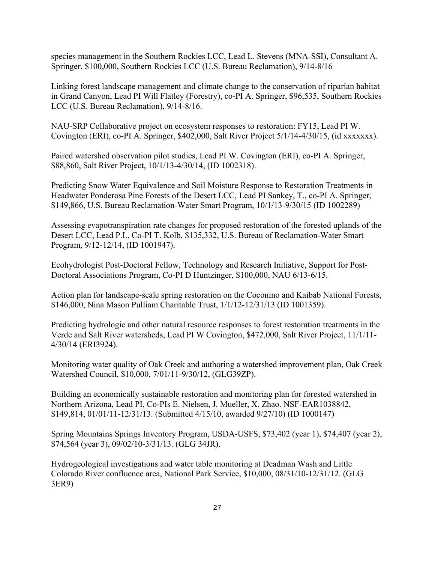species management in the Southern Rockies LCC, Lead L. Stevens (MNA-SSI), Consultant A. Springer, \$100,000, Southern Rockies LCC (U.S. Bureau Reclamation), 9/14-8/16

Linking forest landscape management and climate change to the conservation of riparian habitat in Grand Canyon, Lead PI Will Flatley (Forestry), co-PI A. Springer, \$96,535, Southern Rockies LCC (U.S. Bureau Reclamation), 9/14-8/16.

NAU-SRP Collaborative project on ecosystem responses to restoration: FY15, Lead PI W. Covington (ERI), co-PI A. Springer, \$402,000, Salt River Project 5/1/14-4/30/15, (id xxxxxxx).

Paired watershed observation pilot studies, Lead PI W. Covington (ERI), co-PI A. Springer, \$88,860, Salt River Project, 10/1/13-4/30/14, (ID 1002318).

Predicting Snow Water Equivalence and Soil Moisture Response to Restoration Treatments in Headwater Ponderosa Pine Forests of the Desert LCC, Lead PI Sankey, T., co-PI A. Springer, \$149,866, U.S. Bureau Reclamation-Water Smart Program, 10/1/13-9/30/15 (ID 1002289)

Assessing evapotranspiration rate changes for proposed restoration of the forested uplands of the Desert LCC, Lead P.I., Co-PI T. Kolb, \$135,332, U.S. Bureau of Reclamation-Water Smart Program, 9/12-12/14, (ID 1001947).

Ecohydrologist Post-Doctoral Fellow, Technology and Research Initiative, Support for Post-Doctoral Associations Program, Co-PI D Huntzinger, \$100,000, NAU 6/13-6/15.

Action plan for landscape-scale spring restoration on the Coconino and Kaibab National Forests, \$146,000, Nina Mason Pulliam Charitable Trust, 1/1/12-12/31/13 (ID 1001359).

Predicting hydrologic and other natural resource responses to forest restoration treatments in the Verde and Salt River watersheds, Lead PI W Covington, \$472,000, Salt River Project, 11/1/11- 4/30/14 (ERI3924).

Monitoring water quality of Oak Creek and authoring a watershed improvement plan, Oak Creek Watershed Council, \$10,000, 7/01/11-9/30/12, (GLG39ZP).

Building an economically sustainable restoration and monitoring plan for forested watershed in Northern Arizona, Lead PI, Co-PIs E. Nielsen, J. Mueller, X. Zhao. NSF-EAR1038842, \$149,814, 01/01/11-12/31/13. (Submitted 4/15/10, awarded 9/27/10) (ID 1000147)

Spring Mountains Springs Inventory Program, USDA-USFS, \$73,402 (year 1), \$74,407 (year 2), \$74,564 (year 3), 09/02/10-3/31/13. (GLG 34JR).

Hydrogeological investigations and water table monitoring at Deadman Wash and Little Colorado River confluence area, National Park Service, \$10,000, 08/31/10-12/31/12. (GLG 3ER9)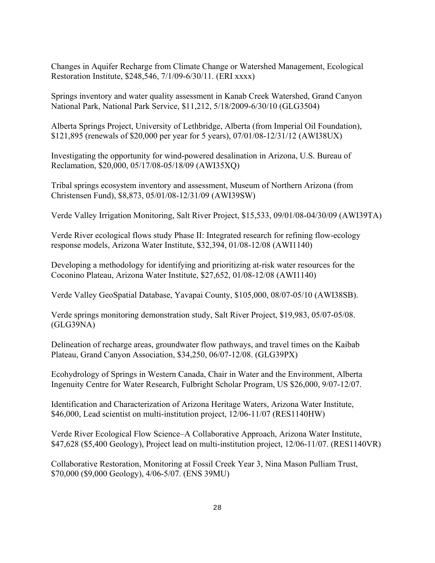Changes in Aquifer Recharge from Climate Change or Watershed Management, Ecological Restoration Institute, \$248,546, 7/1/09-6/30/11. (ERI xxxx)

Springs inventory and water quality assessment in Kanab Creek Watershed, Grand Canyon National Park, National Park Service, \$11,212, 5/18/2009-6/30/10 (GLG3504)

Alberta Springs Project, University of Lethbridge, Alberta (from Imperial Oil Foundation), \$121,895 (renewals of \$20,000 per year for 5 years), 07/01/08-12/31/12 (AWI38UX)

Investigating the opportunity for wind-powered desalination in Arizona, U.S. Bureau of Reclamation, \$20,000, 05/17/08-05/18/09 (AWI35XQ)

Tribal springs ecosystem inventory and assessment, Museum of Northern Arizona (from Christensen Fund), \$8,873, 05/01/08-12/31/09 (AWI39SW)

Verde Valley Irrigation Monitoring, Salt River Project, \$15,533, 09/01/08-04/30/09 (AWI39TA)

Verde River ecological flows study Phase II: Integrated research for refining flow-ecology response models, Arizona Water Institute, \$32,394, 01/08-12/08 (AWI1140)

Developing a methodology for identifying and prioritizing at-risk water resources for the Coconino Plateau, Arizona Water Institute, \$27,652, 01/08-12/08 (AWI1140)

Verde Valley GeoSpatial Database, Yavapai County, \$105,000, 08/07-05/10 (AWI38SB).

Verde springs monitoring demonstration study, Salt River Project, \$19,983, 05/07-05/08. (GLG39NA)

Delineation of recharge areas, groundwater flow pathways, and travel times on the Kaibab Plateau, Grand Canyon Association, \$34,250, 06/07-12/08. (GLG39PX)

Ecohydrology of Springs in Western Canada, Chair in Water and the Environment, Alberta Ingenuity Centre for Water Research, Fulbright Scholar Program, US \$26,000, 9/07-12/07.

Identification and Characterization of Arizona Heritage Waters, Arizona Water Institute, \$46,000, Lead scientist on multi-institution project, 12/06-11/07 (RES1140HW)

Verde River Ecological Flow Science–A Collaborative Approach, Arizona Water Institute, \$47,628 (\$5,400 Geology), Project lead on multi-institution project, 12/06-11/07. (RES1140VR)

Collaborative Restoration, Monitoring at Fossil Creek Year 3, Nina Mason Pulliam Trust, \$70,000 (\$9,000 Geology), 4/06-5/07. (ENS 39MU)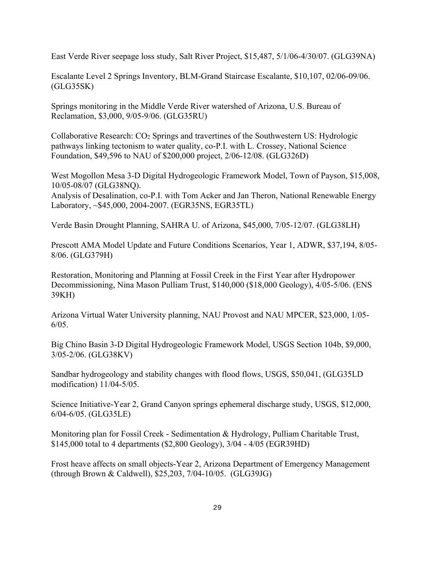East Verde River seepage loss study, Salt River Project, \$15,487, 5/1/06-4/30/07. (GLG39NA)

Escalante Level 2 Springs Inventory, BLM-Grand Staircase Escalante, \$10,107, 02/06-09/06. (GLG35SK)

Springs monitoring in the Middle Verde River watershed of Arizona, U.S. Bureau of Reclamation, \$3,000, 9/05-9/06. (GLG35RU)

Collaborative Research: CO2 Springs and travertines of the Southwestern US: Hydrologic pathways linking tectonism to water quality, co-P.I. with L. Crossey, National Science Foundation, \$49,596 to NAU of \$200,000 project, 2/06-12/08. (GLG326D)

West Mogollon Mesa 3-D Digital Hydrogeologic Framework Model, Town of Payson, \$15,008, 10/05-08/07 (GLG38NQ).

Analysis of Desalination, co-P.I. with Tom Acker and Jan Theron, National Renewable Energy Laboratory, ~\$45,000, 2004-2007. (EGR35NS, EGR35TL)

Verde Basin Drought Planning, SAHRA U. of Arizona, \$45,000, 7/05-12/07. (GLG38LH)

Prescott AMA Model Update and Future Conditions Scenarios, Year 1, ADWR, \$37,194, 8/05- 8/06. (GLG379H)

Restoration, Monitoring and Planning at Fossil Creek in the First Year after Hydropower Decommissioning, Nina Mason Pulliam Trust, \$140,000 (\$18,000 Geology), 4/05-5/06. (ENS 39KH)

Arizona Virtual Water University planning, NAU Provost and NAU MPCER, \$23,000, 1/05-  $6/05$ .

Big Chino Basin 3-D Digital Hydrogeologic Framework Model, USGS Section 104b, \$9,000, 3/05-2/06. (GLG38KV)

Sandbar hydrogeology and stability changes with flood flows, USGS, \$50,041, (GLG35LD modification) 11/04-5/05.

Science Initiative-Year 2, Grand Canyon springs ephemeral discharge study, USGS, \$12,000, 6/04-6/05. (GLG35LE)

Monitoring plan for Fossil Creek - Sedimentation & Hydrology, Pulliam Charitable Trust, \$145,000 total to 4 departments (\$2,800 Geology), 3/04 - 4/05 (EGR39HD)

Frost heave affects on small objects-Year 2, Arizona Department of Emergency Management (through Brown & Caldwell), \$25,203, 7/04-10/05. (GLG39JG)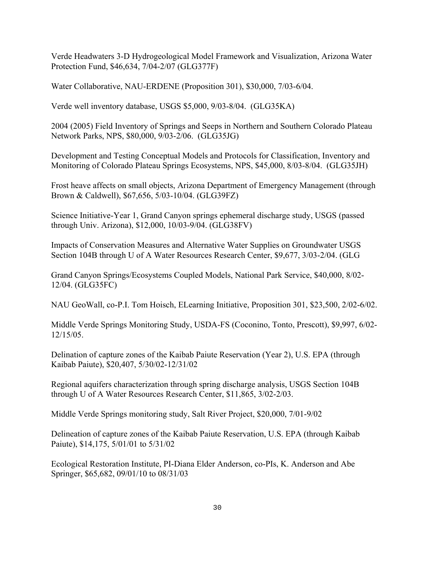Verde Headwaters 3-D Hydrogeological Model Framework and Visualization, Arizona Water Protection Fund, \$46,634, 7/04-2/07 (GLG377F)

Water Collaborative, NAU-ERDENE (Proposition 301), \$30,000, 7/03-6/04.

Verde well inventory database, USGS \$5,000, 9/03-8/04. (GLG35KA)

2004 (2005) Field Inventory of Springs and Seeps in Northern and Southern Colorado Plateau Network Parks, NPS, \$80,000, 9/03-2/06. (GLG35JG)

Development and Testing Conceptual Models and Protocols for Classification, Inventory and Monitoring of Colorado Plateau Springs Ecosystems, NPS, \$45,000, 8/03-8/04. (GLG35JH)

Frost heave affects on small objects, Arizona Department of Emergency Management (through Brown & Caldwell), \$67,656, 5/03-10/04. (GLG39FZ)

Science Initiative-Year 1, Grand Canyon springs ephemeral discharge study, USGS (passed through Univ. Arizona), \$12,000, 10/03-9/04. (GLG38FV)

Impacts of Conservation Measures and Alternative Water Supplies on Groundwater USGS Section 104B through U of A Water Resources Research Center, \$9,677, 3/03-2/04. (GLG

Grand Canyon Springs/Ecosystems Coupled Models, National Park Service, \$40,000, 8/02- 12/04. (GLG35FC)

NAU GeoWall, co-P.I. Tom Hoisch, ELearning Initiative, Proposition 301, \$23,500, 2/02-6/02.

Middle Verde Springs Monitoring Study, USDA-FS (Coconino, Tonto, Prescott), \$9,997, 6/02- 12/15/05.

Delination of capture zones of the Kaibab Paiute Reservation (Year 2), U.S. EPA (through Kaibab Paiute), \$20,407, 5/30/02-12/31/02

Regional aquifers characterization through spring discharge analysis, USGS Section 104B through U of A Water Resources Research Center, \$11,865, 3/02-2/03.

Middle Verde Springs monitoring study, Salt River Project, \$20,000, 7/01-9/02

Delineation of capture zones of the Kaibab Paiute Reservation, U.S. EPA (through Kaibab Paiute), \$14,175, 5/01/01 to 5/31/02

Ecological Restoration Institute, PI-Diana Elder Anderson, co-PIs, K. Anderson and Abe Springer, \$65,682, 09/01/10 to 08/31/03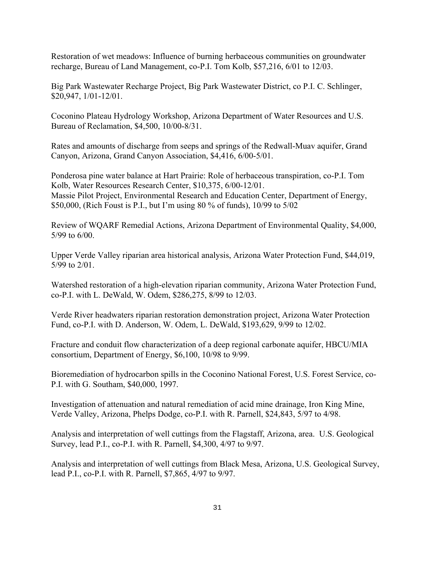Restoration of wet meadows: Influence of burning herbaceous communities on groundwater recharge, Bureau of Land Management, co-P.I. Tom Kolb, \$57,216, 6/01 to 12/03.

Big Park Wastewater Recharge Project, Big Park Wastewater District, co P.I. C. Schlinger, \$20,947, 1/01-12/01.

Coconino Plateau Hydrology Workshop, Arizona Department of Water Resources and U.S. Bureau of Reclamation, \$4,500, 10/00-8/31.

Rates and amounts of discharge from seeps and springs of the Redwall-Muav aquifer, Grand Canyon, Arizona, Grand Canyon Association, \$4,416, 6/00-5/01.

Ponderosa pine water balance at Hart Prairie: Role of herbaceous transpiration, co-P.I. Tom Kolb, Water Resources Research Center, \$10,375, 6/00-12/01. Massie Pilot Project, Environmental Research and Education Center, Department of Energy, \$50,000, (Rich Foust is P.I., but I'm using 80 % of funds), 10/99 to 5/02

Review of WQARF Remedial Actions, Arizona Department of Environmental Quality, \$4,000, 5/99 to 6/00.

Upper Verde Valley riparian area historical analysis, Arizona Water Protection Fund, \$44,019, 5/99 to 2/01.

Watershed restoration of a high-elevation riparian community, Arizona Water Protection Fund, co-P.I. with L. DeWald, W. Odem, \$286,275, 8/99 to 12/03.

Verde River headwaters riparian restoration demonstration project, Arizona Water Protection Fund, co-P.I. with D. Anderson, W. Odem, L. DeWald, \$193,629, 9/99 to 12/02.

Fracture and conduit flow characterization of a deep regional carbonate aquifer, HBCU/MIA consortium, Department of Energy, \$6,100, 10/98 to 9/99.

Bioremediation of hydrocarbon spills in the Coconino National Forest, U.S. Forest Service, co-P.I. with G. Southam, \$40,000, 1997.

Investigation of attenuation and natural remediation of acid mine drainage, Iron King Mine, Verde Valley, Arizona, Phelps Dodge, co-P.I. with R. Parnell, \$24,843, 5/97 to 4/98.

Analysis and interpretation of well cuttings from the Flagstaff, Arizona, area. U.S. Geological Survey, lead P.I., co-P.I. with R. Parnell, \$4,300, 4/97 to 9/97.

Analysis and interpretation of well cuttings from Black Mesa, Arizona, U.S. Geological Survey, lead P.I., co-P.I. with R. Parnell, \$7,865, 4/97 to 9/97.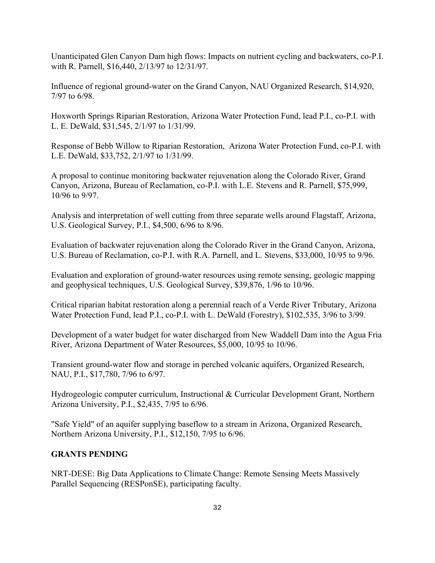Unanticipated Glen Canyon Dam high flows: Impacts on nutrient cycling and backwaters, co-P.I. with R. Parnell, \$16,440, 2/13/97 to 12/31/97.

Influence of regional ground-water on the Grand Canyon, NAU Organized Research, \$14,920, 7/97 to 6/98.

Hoxworth Springs Riparian Restoration, Arizona Water Protection Fund, lead P.I., co-P.I. with L. E. DeWald, \$31,545, 2/1/97 to 1/31/99.

Response of Bebb Willow to Riparian Restoration, Arizona Water Protection Fund, co-P.I. with L.E. DeWald, \$33,752, 2/1/97 to 1/31/99.

A proposal to continue monitoring backwater rejuvenation along the Colorado River, Grand Canyon, Arizona, Bureau of Reclamation, co-P.I. with L.E. Stevens and R. Parnell, \$75,999, 10/96 to 9/97.

Analysis and interpretation of well cutting from three separate wells around Flagstaff, Arizona, U.S. Geological Survey, P.I., \$4,500, 6/96 to 8/96.

Evaluation of backwater rejuvenation along the Colorado River in the Grand Canyon, Arizona, U.S. Bureau of Reclamation, co-P.I. with R.A. Parnell, and L. Stevens, \$33,000, 10/95 to 9/96.

Evaluation and exploration of ground-water resources using remote sensing, geologic mapping and geophysical techniques, U.S. Geological Survey, \$39,876, 1/96 to 10/96.

Critical riparian habitat restoration along a perennial reach of a Verde River Tributary, Arizona Water Protection Fund, lead P.I., co-P.I. with L. DeWald (Forestry), \$102,535, 3/96 to 3/99.

Development of a water budget for water discharged from New Waddell Dam into the Agua Fria River, Arizona Department of Water Resources, \$5,000, 10/95 to 10/96.

Transient ground-water flow and storage in perched volcanic aquifers, Organized Research, NAU, P.I., \$17,780, 7/96 to 6/97.

Hydrogeologic computer curriculum, Instructional & Curricular Development Grant, Northern Arizona University, P.I., \$2,435, 7/95 to 6/96.

"Safe Yield" of an aquifer supplying baseflow to a stream in Arizona, Organized Research, Northern Arizona University, P.I., \$12,150, 7/95 to 6/96.

#### **GRANTS PENDING**

NRT-DESE: Big Data Applications to Climate Change: Remote Sensing Meets Massively Parallel Sequencing (RESPonSE), participating faculty.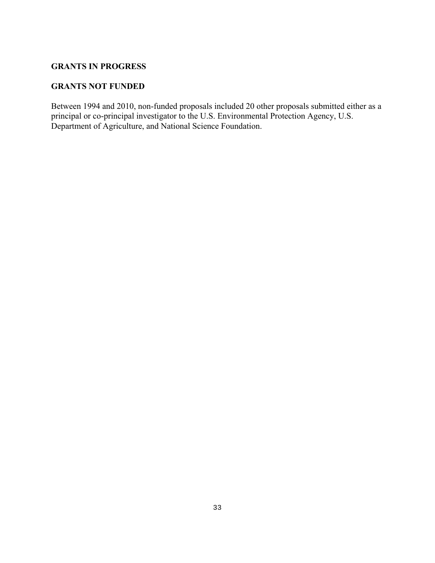#### **GRANTS IN PROGRESS**

#### **GRANTS NOT FUNDED**

Between 1994 and 2010, non-funded proposals included 20 other proposals submitted either as a principal or co-principal investigator to the U.S. Environmental Protection Agency, U.S. Department of Agriculture, and National Science Foundation.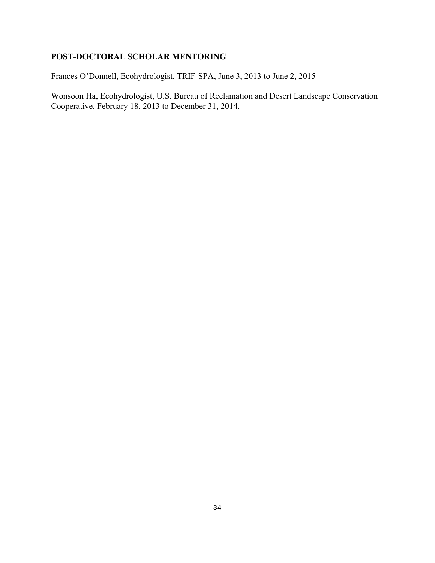## **POST-DOCTORAL SCHOLAR MENTORING**

Frances O'Donnell, Ecohydrologist, TRIF-SPA, June 3, 2013 to June 2, 2015

Wonsoon Ha, Ecohydrologist, U.S. Bureau of Reclamation and Desert Landscape Conservation Cooperative, February 18, 2013 to December 31, 2014.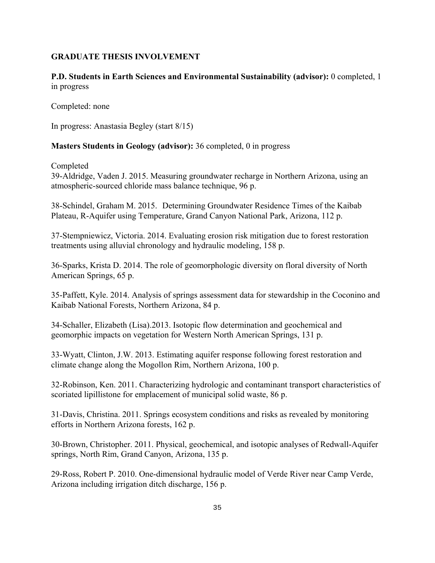#### **GRADUATE THESIS INVOLVEMENT**

**P.D. Students in Earth Sciences and Environmental Sustainability (advisor):** 0 completed, 1 in progress

Completed: none

In progress: Anastasia Begley (start 8/15)

#### **Masters Students in Geology (advisor):** 36 completed, 0 in progress

Completed

39-Aldridge, Vaden J. 2015. Measuring groundwater recharge in Northern Arizona, using an atmospheric-sourced chloride mass balance technique, 96 p.

38-Schindel, Graham M. 2015. Determining Groundwater Residence Times of the Kaibab Plateau, R-Aquifer using Temperature, Grand Canyon National Park, Arizona, 112 p.

37-Stempniewicz, Victoria. 2014. Evaluating erosion risk mitigation due to forest restoration treatments using alluvial chronology and hydraulic modeling, 158 p.

36-Sparks, Krista D. 2014. The role of geomorphologic diversity on floral diversity of North American Springs, 65 p.

35-Paffett, Kyle. 2014. Analysis of springs assessment data for stewardship in the Coconino and Kaibab National Forests, Northern Arizona, 84 p.

34-Schaller, Elizabeth (Lisa).2013. Isotopic flow determination and geochemical and geomorphic impacts on vegetation for Western North American Springs, 131 p.

33-Wyatt, Clinton, J.W. 2013. Estimating aquifer response following forest restoration and climate change along the Mogollon Rim, Northern Arizona, 100 p.

32-Robinson, Ken. 2011. Characterizing hydrologic and contaminant transport characteristics of scoriated lipillistone for emplacement of municipal solid waste, 86 p.

31-Davis, Christina. 2011. Springs ecosystem conditions and risks as revealed by monitoring efforts in Northern Arizona forests, 162 p.

30-Brown, Christopher. 2011. Physical, geochemical, and isotopic analyses of Redwall-Aquifer springs, North Rim, Grand Canyon, Arizona, 135 p.

29-Ross, Robert P. 2010. One-dimensional hydraulic model of Verde River near Camp Verde, Arizona including irrigation ditch discharge, 156 p.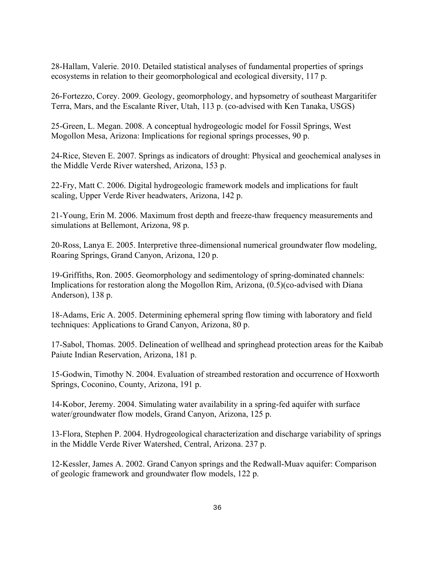28-Hallam, Valerie. 2010. Detailed statistical analyses of fundamental properties of springs ecosystems in relation to their geomorphological and ecological diversity, 117 p.

26-Fortezzo, Corey. 2009. Geology, geomorphology, and hypsometry of southeast Margaritifer Terra, Mars, and the Escalante River, Utah, 113 p. (co-advised with Ken Tanaka, USGS)

25-Green, L. Megan. 2008. A conceptual hydrogeologic model for Fossil Springs, West Mogollon Mesa, Arizona: Implications for regional springs processes, 90 p.

24-Rice, Steven E. 2007. Springs as indicators of drought: Physical and geochemical analyses in the Middle Verde River watershed, Arizona, 153 p.

22-Fry, Matt C. 2006. Digital hydrogeologic framework models and implications for fault scaling, Upper Verde River headwaters, Arizona, 142 p.

21-Young, Erin M. 2006. Maximum frost depth and freeze-thaw frequency measurements and simulations at Bellemont, Arizona, 98 p.

20-Ross, Lanya E. 2005. Interpretive three-dimensional numerical groundwater flow modeling, Roaring Springs, Grand Canyon, Arizona, 120 p.

19-Griffiths, Ron. 2005. Geomorphology and sedimentology of spring-dominated channels: Implications for restoration along the Mogollon Rim, Arizona, (0.5)(co-advised with Diana Anderson), 138 p.

18-Adams, Eric A. 2005. Determining ephemeral spring flow timing with laboratory and field techniques: Applications to Grand Canyon, Arizona, 80 p.

17-Sabol, Thomas. 2005. Delineation of wellhead and springhead protection areas for the Kaibab Paiute Indian Reservation, Arizona, 181 p.

15-Godwin, Timothy N. 2004. Evaluation of streambed restoration and occurrence of Hoxworth Springs, Coconino, County, Arizona, 191 p.

14-Kobor, Jeremy. 2004. Simulating water availability in a spring-fed aquifer with surface water/groundwater flow models, Grand Canyon, Arizona, 125 p.

13-Flora, Stephen P. 2004. Hydrogeological characterization and discharge variability of springs in the Middle Verde River Watershed, Central, Arizona. 237 p.

12-Kessler, James A. 2002. Grand Canyon springs and the Redwall-Muav aquifer: Comparison of geologic framework and groundwater flow models, 122 p.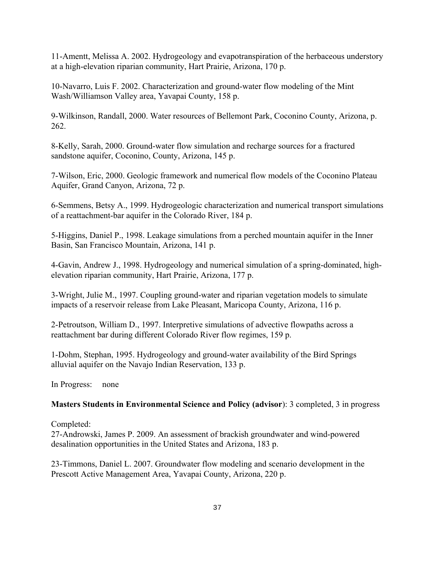11-Amentt, Melissa A. 2002. Hydrogeology and evapotranspiration of the herbaceous understory at a high-elevation riparian community, Hart Prairie, Arizona, 170 p.

10-Navarro, Luis F. 2002. Characterization and ground-water flow modeling of the Mint Wash/Williamson Valley area, Yavapai County, 158 p.

9-Wilkinson, Randall, 2000. Water resources of Bellemont Park, Coconino County, Arizona, p. 262.

8-Kelly, Sarah, 2000. Ground-water flow simulation and recharge sources for a fractured sandstone aquifer, Coconino, County, Arizona, 145 p.

7-Wilson, Eric, 2000. Geologic framework and numerical flow models of the Coconino Plateau Aquifer, Grand Canyon, Arizona, 72 p.

6-Semmens, Betsy A., 1999. Hydrogeologic characterization and numerical transport simulations of a reattachment-bar aquifer in the Colorado River, 184 p.

5-Higgins, Daniel P., 1998. Leakage simulations from a perched mountain aquifer in the Inner Basin, San Francisco Mountain, Arizona, 141 p.

4-Gavin, Andrew J., 1998. Hydrogeology and numerical simulation of a spring-dominated, highelevation riparian community, Hart Prairie, Arizona, 177 p.

3-Wright, Julie M., 1997. Coupling ground-water and riparian vegetation models to simulate impacts of a reservoir release from Lake Pleasant, Maricopa County, Arizona, 116 p.

2-Petroutson, William D., 1997. Interpretive simulations of advective flowpaths across a reattachment bar during different Colorado River flow regimes, 159 p.

1-Dohm, Stephan, 1995. Hydrogeology and ground-water availability of the Bird Springs alluvial aquifer on the Navajo Indian Reservation, 133 p.

In Progress: none

#### **Masters Students in Environmental Science and Policy (advisor**): 3 completed, 3 in progress

Completed:

27-Androwski, James P. 2009. An assessment of brackish groundwater and wind-powered desalination opportunities in the United States and Arizona, 183 p.

23-Timmons, Daniel L. 2007. Groundwater flow modeling and scenario development in the Prescott Active Management Area, Yavapai County, Arizona, 220 p.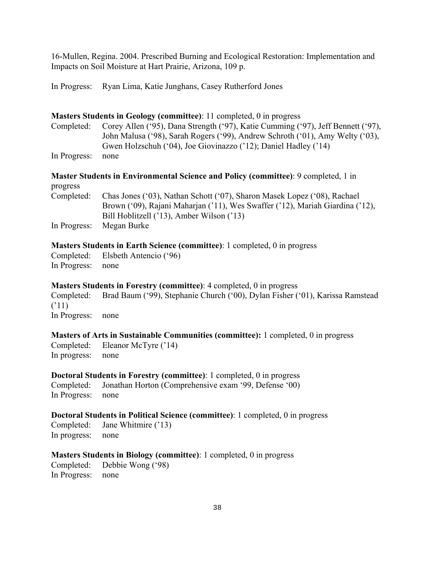16-Mullen, Regina. 2004. Prescribed Burning and Ecological Restoration: Implementation and Impacts on Soil Moisture at Hart Prairie, Arizona, 109 p.

In Progress: Ryan Lima, Katie Junghans, Casey Rutherford Jones

#### **Masters Students in Geology (committee)**: 11 completed, 0 in progress

Completed: Corey Allen ('95), Dana Strength ('97), Katie Cumming ('97), Jeff Bennett ('97), John Malusa ('98), Sarah Rogers ('99), Andrew Schroth ('01), Amy Welty ('03), Gwen Holzschuh ('04), Joe Giovinazzo ('12); Daniel Hadley ('14)

In Progress: none

**Master Students in Environmental Science and Policy (committee)**: 9 completed, 1 in progress

Completed: Chas Jones ('03), Nathan Schott ('07), Sharon Masek Lopez ('08), Rachael Brown ('09), Rajani Maharjan ('11), Wes Swaffer ('12), Mariah Giardina ('12), Bill Hoblitzell ('13), Amber Wilson ('13) In Progress: Megan Burke

#### **Masters Students in Earth Science (committee)**: 1 completed, 0 in progress

Completed: Elsbeth Antencio ('96) In Progress: none

#### **Masters Students in Forestry (committee)**: 4 completed, 0 in progress

Completed: Brad Baum ('99), Stephanie Church ('00), Dylan Fisher ('01), Karissa Ramstead  $(11)$ In Progress: none

#### **Masters of Arts in Sustainable Communities (committee):** 1 completed, 0 in progress

Completed: Eleanor McTyre ('14) In progress: none

#### **Doctoral Students in Forestry (committee)**: 1 completed, 0 in progress

Completed: Jonathan Horton (Comprehensive exam '99, Defense '00) In Progress: none

#### **Doctoral Students in Political Science (committee)**: 1 completed, 0 in progress

Completed: Jane Whitmire ('13) In progress: none

#### **Masters Students in Biology (committee)**: 1 completed, 0 in progress

Completed: Debbie Wong ('98) In Progress: none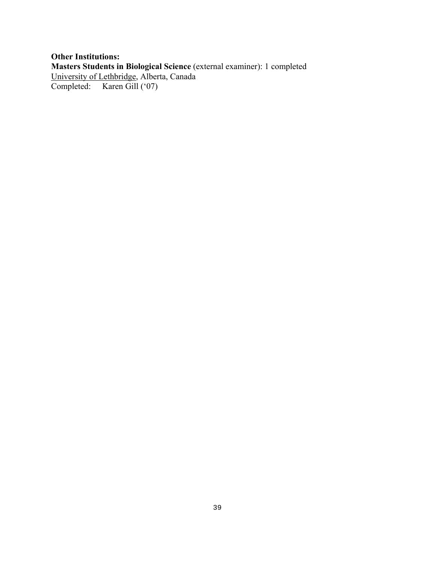### **Other Institutions: Masters Students in Biological Science** (external examiner): 1 completed University of Lethbridge, Alberta, Canada Completed: Karen Gill ('07)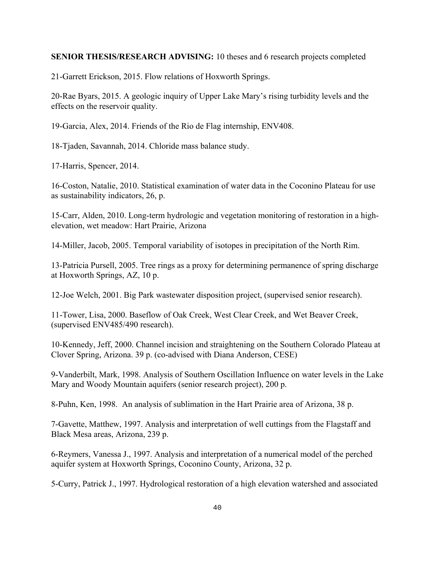#### **SENIOR THESIS/RESEARCH ADVISING:** 10 theses and 6 research projects completed

21-Garrett Erickson, 2015. Flow relations of Hoxworth Springs.

20-Rae Byars, 2015. A geologic inquiry of Upper Lake Mary's rising turbidity levels and the effects on the reservoir quality.

19-Garcia, Alex, 2014. Friends of the Rio de Flag internship, ENV408.

18-Tjaden, Savannah, 2014. Chloride mass balance study.

17-Harris, Spencer, 2014.

16-Coston, Natalie, 2010. Statistical examination of water data in the Coconino Plateau for use as sustainability indicators, 26, p.

15-Carr, Alden, 2010. Long-term hydrologic and vegetation monitoring of restoration in a highelevation, wet meadow: Hart Prairie, Arizona

14-Miller, Jacob, 2005. Temporal variability of isotopes in precipitation of the North Rim.

13-Patricia Pursell, 2005. Tree rings as a proxy for determining permanence of spring discharge at Hoxworth Springs, AZ, 10 p.

12-Joe Welch, 2001. Big Park wastewater disposition project, (supervised senior research).

11-Tower, Lisa, 2000. Baseflow of Oak Creek, West Clear Creek, and Wet Beaver Creek, (supervised ENV485/490 research).

10-Kennedy, Jeff, 2000. Channel incision and straightening on the Southern Colorado Plateau at Clover Spring, Arizona. 39 p. (co-advised with Diana Anderson, CESE)

9-Vanderbilt, Mark, 1998. Analysis of Southern Oscillation Influence on water levels in the Lake Mary and Woody Mountain aquifers (senior research project), 200 p.

8-Puhn, Ken, 1998. An analysis of sublimation in the Hart Prairie area of Arizona, 38 p.

7-Gavette, Matthew, 1997. Analysis and interpretation of well cuttings from the Flagstaff and Black Mesa areas, Arizona, 239 p.

6-Reymers, Vanessa J., 1997. Analysis and interpretation of a numerical model of the perched aquifer system at Hoxworth Springs, Coconino County, Arizona, 32 p.

5-Curry, Patrick J., 1997. Hydrological restoration of a high elevation watershed and associated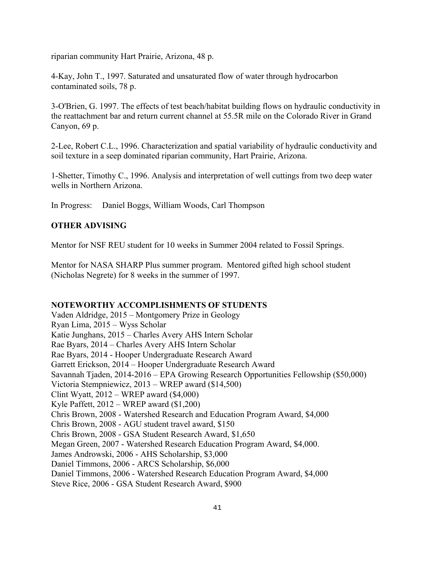riparian community Hart Prairie, Arizona, 48 p.

4-Kay, John T., 1997. Saturated and unsaturated flow of water through hydrocarbon contaminated soils, 78 p.

3-O'Brien, G. 1997. The effects of test beach/habitat building flows on hydraulic conductivity in the reattachment bar and return current channel at 55.5R mile on the Colorado River in Grand Canyon, 69 p.

2-Lee, Robert C.L., 1996. Characterization and spatial variability of hydraulic conductivity and soil texture in a seep dominated riparian community, Hart Prairie, Arizona.

1-Shetter, Timothy C., 1996. Analysis and interpretation of well cuttings from two deep water wells in Northern Arizona.

In Progress: Daniel Boggs, William Woods, Carl Thompson

#### **OTHER ADVISING**

Mentor for NSF REU student for 10 weeks in Summer 2004 related to Fossil Springs.

Mentor for NASA SHARP Plus summer program. Mentored gifted high school student (Nicholas Negrete) for 8 weeks in the summer of 1997.

#### **NOTEWORTHY ACCOMPLISHMENTS OF STUDENTS**

Vaden Aldridge, 2015 – Montgomery Prize in Geology Ryan Lima, 2015 – Wyss Scholar Katie Junghans, 2015 – Charles Avery AHS Intern Scholar Rae Byars, 2014 – Charles Avery AHS Intern Scholar Rae Byars, 2014 - Hooper Undergraduate Research Award Garrett Erickson, 2014 – Hooper Undergraduate Research Award Savannah Tjaden, 2014-2016 – EPA Growing Research Opportunities Fellowship (\$50,000) Victoria Stempniewicz, 2013 – WREP award (\$14,500) Clint Wyatt, 2012 – WREP award (\$4,000) Kyle Paffett, 2012 – WREP award (\$1,200) Chris Brown, 2008 - Watershed Research and Education Program Award, \$4,000 Chris Brown, 2008 - AGU student travel award, \$150 Chris Brown, 2008 - GSA Student Research Award, \$1,650 Megan Green, 2007 - Watershed Research Education Program Award, \$4,000. James Androwski, 2006 - AHS Scholarship, \$3,000 Daniel Timmons, 2006 - ARCS Scholarship, \$6,000 Daniel Timmons, 2006 - Watershed Research Education Program Award, \$4,000 Steve Rice, 2006 - GSA Student Research Award, \$900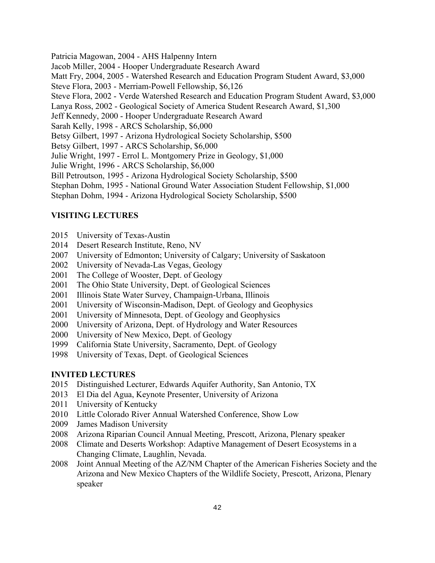Patricia Magowan, 2004 - AHS Halpenny Intern Jacob Miller, 2004 - Hooper Undergraduate Research Award Matt Fry, 2004, 2005 - Watershed Research and Education Program Student Award, \$3,000 Steve Flora, 2003 - Merriam-Powell Fellowship, \$6,126 Steve Flora, 2002 - Verde Watershed Research and Education Program Student Award, \$3,000 Lanya Ross, 2002 - Geological Society of America Student Research Award, \$1,300 Jeff Kennedy, 2000 - Hooper Undergraduate Research Award Sarah Kelly, 1998 - ARCS Scholarship, \$6,000 Betsy Gilbert, 1997 - Arizona Hydrological Society Scholarship, \$500 Betsy Gilbert, 1997 - ARCS Scholarship, \$6,000 Julie Wright, 1997 - Errol L. Montgomery Prize in Geology, \$1,000 Julie Wright, 1996 - ARCS Scholarship, \$6,000 Bill Petroutson, 1995 - Arizona Hydrological Society Scholarship, \$500 Stephan Dohm, 1995 - National Ground Water Association Student Fellowship, \$1,000 Stephan Dohm, 1994 - Arizona Hydrological Society Scholarship, \$500

#### **VISITING LECTURES**

- 2015 University of Texas-Austin
- 2014 Desert Research Institute, Reno, NV
- 2007 University of Edmonton; University of Calgary; University of Saskatoon
- 2002 University of Nevada-Las Vegas, Geology
- 2001 The College of Wooster, Dept. of Geology
- 2001 The Ohio State University, Dept. of Geological Sciences
- 2001 Illinois State Water Survey, Champaign-Urbana, Illinois
- 2001 University of Wisconsin-Madison, Dept. of Geology and Geophysics
- 2001 University of Minnesota, Dept. of Geology and Geophysics
- 2000 University of Arizona, Dept. of Hydrology and Water Resources
- 2000 University of New Mexico, Dept. of Geology
- 1999 California State University, Sacramento, Dept. of Geology
- 1998 University of Texas, Dept. of Geological Sciences

#### **INVITED LECTURES**

- 2015 Distinguished Lecturer, Edwards Aquifer Authority, San Antonio, TX
- 2013 El Dia del Agua, Keynote Presenter, University of Arizona
- 2011 University of Kentucky
- 2010 Little Colorado River Annual Watershed Conference, Show Low
- 2009 James Madison University
- 2008 Arizona Riparian Council Annual Meeting, Prescott, Arizona, Plenary speaker
- 2008 Climate and Deserts Workshop: Adaptive Management of Desert Ecosystems in a Changing Climate, Laughlin, Nevada.
- 2008 Joint Annual Meeting of the AZ/NM Chapter of the American Fisheries Society and the Arizona and New Mexico Chapters of the Wildlife Society, Prescott, Arizona, Plenary speaker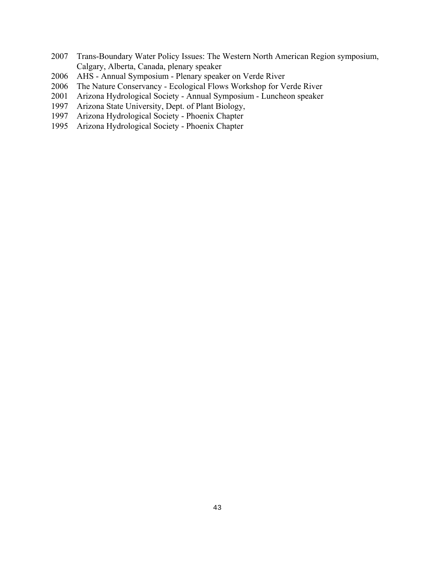- 2007 Trans-Boundary Water Policy Issues: The Western North American Region symposium, Calgary, Alberta, Canada, plenary speaker
- 2006 AHS Annual Symposium Plenary speaker on Verde River
- 2006 The Nature Conservancy Ecological Flows Workshop for Verde River
- 2001 Arizona Hydrological Society Annual Symposium Luncheon speaker
- 1997 Arizona State University, Dept. of Plant Biology,
- 1997 Arizona Hydrological Society Phoenix Chapter<br>1995 Arizona Hydrological Society Phoenix Chapter
- Arizona Hydrological Society Phoenix Chapter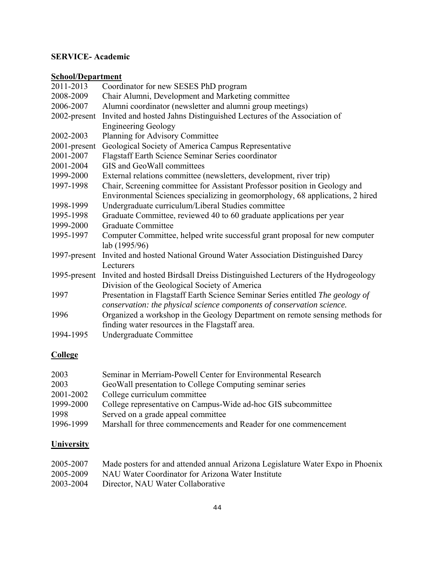## **SERVICE- Academic**

#### **School/Department**

| 2011-2013    | Coordinator for new SESES PhD program                                          |
|--------------|--------------------------------------------------------------------------------|
| 2008-2009    | Chair Alumni, Development and Marketing committee                              |
| 2006-2007    | Alumni coordinator (newsletter and alumni group meetings)                      |
| 2002-present | Invited and hosted Jahns Distinguished Lectures of the Association of          |
|              | <b>Engineering Geology</b>                                                     |
| 2002-2003    | Planning for Advisory Committee                                                |
| 2001-present | Geological Society of America Campus Representative                            |
| 2001-2007    | Flagstaff Earth Science Seminar Series coordinator                             |
| 2001-2004    | GIS and GeoWall committees                                                     |
| 1999-2000    | External relations committee (newsletters, development, river trip)            |
| 1997-1998    | Chair, Screening committee for Assistant Professor position in Geology and     |
|              | Environmental Sciences specializing in geomorphology, 68 applications, 2 hired |
| 1998-1999    | Undergraduate curriculum/Liberal Studies committee                             |
| 1995-1998    | Graduate Committee, reviewed 40 to 60 graduate applications per year           |
| 1999-2000    | <b>Graduate Committee</b>                                                      |
| 1995-1997    | Computer Committee, helped write successful grant proposal for new computer    |
|              | lab (1995/96)                                                                  |
| 1997-present | Invited and hosted National Ground Water Association Distinguished Darcy       |
|              | Lecturers                                                                      |
| 1995-present | Invited and hosted Birdsall Dreiss Distinguished Lecturers of the Hydrogeology |
|              | Division of the Geological Society of America                                  |
| 1997         | Presentation in Flagstaff Earth Science Seminar Series entitled The geology of |
|              | conservation: the physical science components of conservation science.         |
| 1996         | Organized a workshop in the Geology Department on remote sensing methods for   |
|              | finding water resources in the Flagstaff area.                                 |
| 1994-1995    | Undergraduate Committee                                                        |

## **College**

| 2003      | Seminar in Merriam-Powell Center for Environmental Research      |
|-----------|------------------------------------------------------------------|
| 2003      | GeoWall presentation to College Computing seminar series         |
| 2001-2002 | College curriculum committee                                     |
| 1999-2000 | College representative on Campus-Wide ad-hoc GIS subcommittee    |
| 1998      | Served on a grade appeal committee                               |
| 1996-1999 | Marshall for three commencements and Reader for one commencement |

## **University**

| 2005-2007 | Made posters for and attended annual Arizona Legislature Water Expo in Phoenix |
|-----------|--------------------------------------------------------------------------------|
| 2005-2009 | NAU Water Coordinator for Arizona Water Institute                              |
| 2003-2004 | Director, NAU Water Collaborative                                              |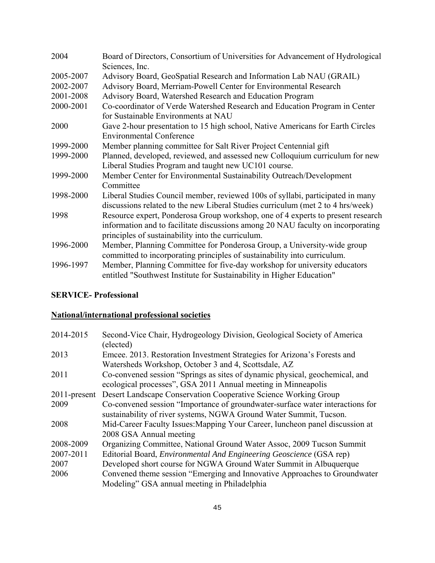| 2004      | Board of Directors, Consortium of Universities for Advancement of Hydrological                                                                     |
|-----------|----------------------------------------------------------------------------------------------------------------------------------------------------|
|           | Sciences, Inc.                                                                                                                                     |
| 2005-2007 | Advisory Board, GeoSpatial Research and Information Lab NAU (GRAIL)                                                                                |
| 2002-2007 | Advisory Board, Merriam-Powell Center for Environmental Research                                                                                   |
| 2001-2008 | Advisory Board, Watershed Research and Education Program                                                                                           |
| 2000-2001 | Co-coordinator of Verde Watershed Research and Education Program in Center                                                                         |
|           | for Sustainable Environments at NAU                                                                                                                |
| 2000      | Gave 2-hour presentation to 15 high school, Native Americans for Earth Circles<br><b>Environmental Conference</b>                                  |
| 1999-2000 | Member planning committee for Salt River Project Centennial gift                                                                                   |
| 1999-2000 | Planned, developed, reviewed, and assessed new Colloquium curriculum for new                                                                       |
|           | Liberal Studies Program and taught new UC101 course.                                                                                               |
| 1999-2000 | Member Center for Environmental Sustainability Outreach/Development                                                                                |
|           | Committee                                                                                                                                          |
| 1998-2000 | Liberal Studies Council member, reviewed 100s of syllabi, participated in many                                                                     |
|           | discussions related to the new Liberal Studies curriculum (met 2 to 4 hrs/week)                                                                    |
| 1998      | Resource expert, Ponderosa Group workshop, one of 4 experts to present research                                                                    |
|           | information and to facilitate discussions among 20 NAU faculty on incorporating                                                                    |
|           | principles of sustainability into the curriculum.                                                                                                  |
| 1996-2000 | Member, Planning Committee for Ponderosa Group, a University-wide group                                                                            |
|           | committed to incorporating principles of sustainability into curriculum.                                                                           |
| 1996-1997 | Member, Planning Committee for five-day workshop for university educators<br>entitled "Southwest Institute for Sustainability in Higher Education" |
|           |                                                                                                                                                    |

## **SERVICE- Professional**

## **National/international professional societies**

| 2014-2015       | Second-Vice Chair, Hydrogeology Division, Geological Society of America<br>(elected)                                                                |
|-----------------|-----------------------------------------------------------------------------------------------------------------------------------------------------|
| 2013            | Emcee. 2013. Restoration Investment Strategies for Arizona's Forests and<br>Watersheds Workshop, October 3 and 4, Scottsdale, AZ                    |
| 2011            | Co-convened session "Springs as sites of dynamic physical, geochemical, and<br>ecological processes", GSA 2011 Annual meeting in Minneapolis        |
| $2011$ -present | Desert Landscape Conservation Cooperative Science Working Group                                                                                     |
| 2009            | Co-convened session "Importance of groundwater-surface water interactions for<br>sustainability of river systems, NGWA Ground Water Summit, Tucson. |
| 2008            | Mid-Career Faculty Issues: Mapping Your Career, luncheon panel discussion at<br>2008 GSA Annual meeting                                             |
| 2008-2009       | Organizing Committee, National Ground Water Assoc, 2009 Tucson Summit                                                                               |
| 2007-2011       | Editorial Board, <i>Environmental And Engineering Geoscience</i> (GSA rep)                                                                          |
| 2007            | Developed short course for NGWA Ground Water Summit in Albuquerque                                                                                  |
| 2006            | Convened theme session "Emerging and Innovative Approaches to Groundwater"<br>Modeling" GSA annual meeting in Philadelphia                          |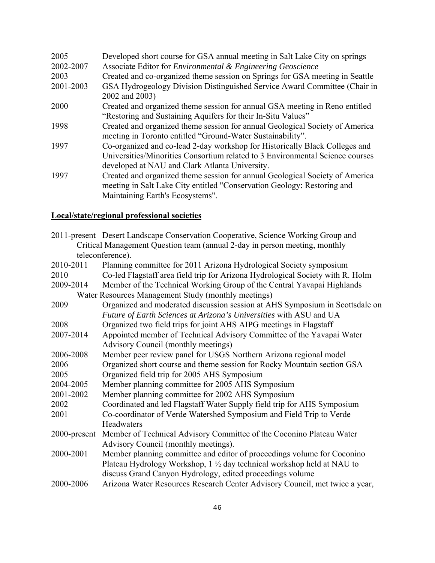| 2005      | Developed short course for GSA annual meeting in Salt Lake City on springs                                                                                                                                     |
|-----------|----------------------------------------------------------------------------------------------------------------------------------------------------------------------------------------------------------------|
| 2002-2007 | Associate Editor for <i>Environmental &amp; Engineering Geoscience</i>                                                                                                                                         |
| 2003      | Created and co-organized theme session on Springs for GSA meeting in Seattle                                                                                                                                   |
| 2001-2003 | GSA Hydrogeology Division Distinguished Service Award Committee (Chair in<br>2002 and 2003)                                                                                                                    |
| 2000      | Created and organized theme session for annual GSA meeting in Reno entitled<br>"Restoring and Sustaining Aquifers for their In-Situ Values"                                                                    |
| 1998      | Created and organized theme session for annual Geological Society of America<br>meeting in Toronto entitled "Ground-Water Sustainability".                                                                     |
| 1997      | Co-organized and co-lead 2-day workshop for Historically Black Colleges and<br>Universities/Minorities Consortium related to 3 Environmental Science courses<br>developed at NAU and Clark Atlanta University. |
| 1997      | Created and organized theme session for annual Geological Society of America<br>meeting in Salt Lake City entitled "Conservation Geology: Restoring and<br>Maintaining Earth's Ecosystems".                    |

## **Local/state/regional professional societies**

|              | 2011-present Desert Landscape Conservation Cooperative, Science Working Group and |
|--------------|-----------------------------------------------------------------------------------|
|              | Critical Management Question team (annual 2-day in person meeting, monthly        |
|              | teleconference).                                                                  |
| 2010-2011    | Planning committee for 2011 Arizona Hydrological Society symposium                |
| 2010         | Co-led Flagstaff area field trip for Arizona Hydrological Society with R. Holm    |
| 2009-2014    | Member of the Technical Working Group of the Central Yavapai Highlands            |
|              | Water Resources Management Study (monthly meetings)                               |
| 2009         | Organized and moderated discussion session at AHS Symposium in Scottsdale on      |
|              | Future of Earth Sciences at Arizona's Universities with ASU and UA                |
| 2008         | Organized two field trips for joint AHS AIPG meetings in Flagstaff                |
| 2007-2014    | Appointed member of Technical Advisory Committee of the Yavapai Water             |
|              | Advisory Council (monthly meetings)                                               |
| 2006-2008    | Member peer review panel for USGS Northern Arizona regional model                 |
| 2006         | Organized short course and theme session for Rocky Mountain section GSA           |
| 2005         | Organized field trip for 2005 AHS Symposium                                       |
| 2004-2005    | Member planning committee for 2005 AHS Symposium                                  |
| 2001-2002    | Member planning committee for 2002 AHS Symposium                                  |
| 2002         | Coordinated and led Flagstaff Water Supply field trip for AHS Symposium           |
| 2001         | Co-coordinator of Verde Watershed Symposium and Field Trip to Verde               |
|              | Headwaters                                                                        |
| 2000-present | Member of Technical Advisory Committee of the Coconino Plateau Water              |
|              | Advisory Council (monthly meetings).                                              |
| 2000-2001    | Member planning committee and editor of proceedings volume for Coconino           |
|              | Plateau Hydrology Workshop, $1\frac{1}{2}$ day technical workshop held at NAU to  |
|              | discuss Grand Canyon Hydrology, edited proceedings volume                         |
| 2000-2006    | Arizona Water Resources Research Center Advisory Council, met twice a year,       |
|              |                                                                                   |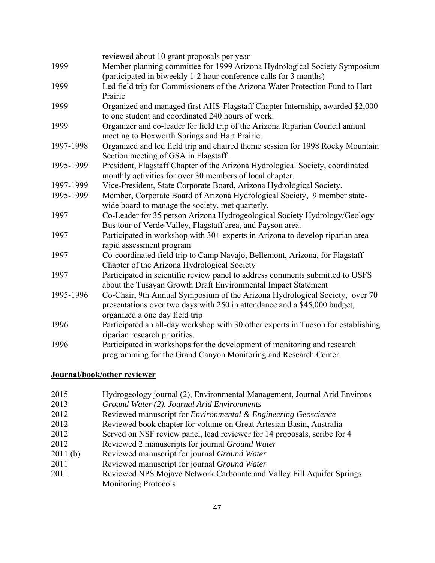|           | reviewed about 10 grant proposals per year                                        |
|-----------|-----------------------------------------------------------------------------------|
| 1999      | Member planning committee for 1999 Arizona Hydrological Society Symposium         |
|           | (participated in biweekly 1-2 hour conference calls for 3 months)                 |
| 1999      | Led field trip for Commissioners of the Arizona Water Protection Fund to Hart     |
|           | Prairie                                                                           |
| 1999      | Organized and managed first AHS-Flagstaff Chapter Internship, awarded \$2,000     |
|           | to one student and coordinated 240 hours of work.                                 |
| 1999      | Organizer and co-leader for field trip of the Arizona Riparian Council annual     |
|           | meeting to Hoxworth Springs and Hart Prairie.                                     |
| 1997-1998 | Organized and led field trip and chaired theme session for 1998 Rocky Mountain    |
|           | Section meeting of GSA in Flagstaff.                                              |
| 1995-1999 | President, Flagstaff Chapter of the Arizona Hydrological Society, coordinated     |
|           | monthly activities for over 30 members of local chapter.                          |
| 1997-1999 | Vice-President, State Corporate Board, Arizona Hydrological Society.              |
| 1995-1999 | Member, Corporate Board of Arizona Hydrological Society, 9 member state-          |
|           | wide board to manage the society, met quarterly.                                  |
| 1997      | Co-Leader for 35 person Arizona Hydrogeological Society Hydrology/Geology         |
|           | Bus tour of Verde Valley, Flagstaff area, and Payson area.                        |
| 1997      | Participated in workshop with 30+ experts in Arizona to develop riparian area     |
|           | rapid assessment program                                                          |
| 1997      | Co-coordinated field trip to Camp Navajo, Bellemont, Arizona, for Flagstaff       |
|           | Chapter of the Arizona Hydrological Society                                       |
| 1997      | Participated in scientific review panel to address comments submitted to USFS     |
|           | about the Tusayan Growth Draft Environmental Impact Statement                     |
| 1995-1996 | Co-Chair, 9th Annual Symposium of the Arizona Hydrological Society, over 70       |
|           | presentations over two days with 250 in attendance and a \$45,000 budget,         |
|           | organized a one day field trip                                                    |
| 1996      | Participated an all-day workshop with 30 other experts in Tucson for establishing |
|           | riparian research priorities.                                                     |
| 1996      | Participated in workshops for the development of monitoring and research          |
|           | programming for the Grand Canyon Monitoring and Research Center.                  |

## **Journal/book/other reviewer**

| 2015    | Hydrogeology journal (2), Environmental Management, Journal Arid Environs |
|---------|---------------------------------------------------------------------------|
| 2013    | Ground Water (2), Journal Arid Environments                               |
| 2012    | Reviewed manuscript for <i>Environmental &amp; Engineering Geoscience</i> |
| 2012    | Reviewed book chapter for volume on Great Artesian Basin, Australia       |
| 2012    | Served on NSF review panel, lead reviewer for 14 proposals, scribe for 4  |
| 2012    | Reviewed 2 manuscripts for journal Ground Water                           |
| 2011(b) | Reviewed manuscript for journal Ground Water                              |
| 2011    | Reviewed manuscript for journal Ground Water                              |
| 2011    | Reviewed NPS Mojave Network Carbonate and Valley Fill Aquifer Springs     |
|         | <b>Monitoring Protocols</b>                                               |
|         |                                                                           |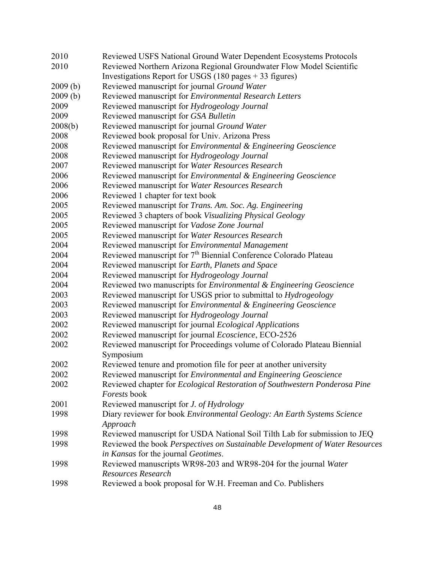| 2010    | Reviewed USFS National Ground Water Dependent Ecosystems Protocols                |
|---------|-----------------------------------------------------------------------------------|
| 2010    | Reviewed Northern Arizona Regional Groundwater Flow Model Scientific              |
|         | Investigations Report for USGS $(180 \text{ pages} + 33 \text{ figures})$         |
| 2009(b) | Reviewed manuscript for journal Ground Water                                      |
| 2009(b) | Reviewed manuscript for Environmental Research Letters                            |
| 2009    | Reviewed manuscript for Hydrogeology Journal                                      |
| 2009    | Reviewed manuscript for GSA Bulletin                                              |
| 2008(b) | Reviewed manuscript for journal Ground Water                                      |
| 2008    | Reviewed book proposal for Univ. Arizona Press                                    |
| 2008    | Reviewed manuscript for Environmental & Engineering Geoscience                    |
| 2008    | Reviewed manuscript for Hydrogeology Journal                                      |
| 2007    | Reviewed manuscript for Water Resources Research                                  |
| 2006    | Reviewed manuscript for <i>Environmental &amp; Engineering Geoscience</i>         |
| 2006    | Reviewed manuscript for Water Resources Research                                  |
| 2006    | Reviewed 1 chapter for text book                                                  |
| 2005    | Reviewed manuscript for Trans. Am. Soc. Ag. Engineering                           |
| 2005    | Reviewed 3 chapters of book Visualizing Physical Geology                          |
| 2005    | Reviewed manuscript for Vadose Zone Journal                                       |
| 2005    | Reviewed manuscript for Water Resources Research                                  |
| 2004    | Reviewed manuscript for Environmental Management                                  |
| 2004    | Reviewed manuscript for 7 <sup>th</sup> Biennial Conference Colorado Plateau      |
| 2004    | Reviewed manuscript for Earth, Planets and Space                                  |
| 2004    | Reviewed manuscript for Hydrogeology Journal                                      |
| 2004    | Reviewed two manuscripts for Environmental & Engineering Geoscience               |
| 2003    | Reviewed manuscript for USGS prior to submittal to <i>Hydrogeology</i>            |
| 2003    | Reviewed manuscript for Environmental & Engineering Geoscience                    |
| 2003    | Reviewed manuscript for Hydrogeology Journal                                      |
| 2002    | Reviewed manuscript for journal Ecological Applications                           |
| 2002    | Reviewed manuscript for journal Ecoscience, ECO-2526                              |
| 2002    | Reviewed manuscript for Proceedings volume of Colorado Plateau Biennial           |
|         | Symposium                                                                         |
| 2002    | Reviewed tenure and promotion file for peer at another university                 |
| 2002    | Reviewed manuscript for <i>Environmental and Engineering Geoscience</i>           |
| 2002    | Reviewed chapter for <i>Ecological Restoration of Southwestern Ponderosa Pine</i> |
|         | Forests book                                                                      |
| 2001    | Reviewed manuscript for J. of Hydrology                                           |
| 1998    | Diary reviewer for book Environmental Geology: An Earth Systems Science           |
|         | Approach                                                                          |
| 1998    | Reviewed manuscript for USDA National Soil Tilth Lab for submission to JEQ        |
| 1998    | Reviewed the book Perspectives on Sustainable Development of Water Resources      |
|         | in Kansas for the journal Geotimes.                                               |
| 1998    | Reviewed manuscripts WR98-203 and WR98-204 for the journal Water                  |
|         | Resources Research                                                                |
| 1998    | Reviewed a book proposal for W.H. Freeman and Co. Publishers                      |
|         |                                                                                   |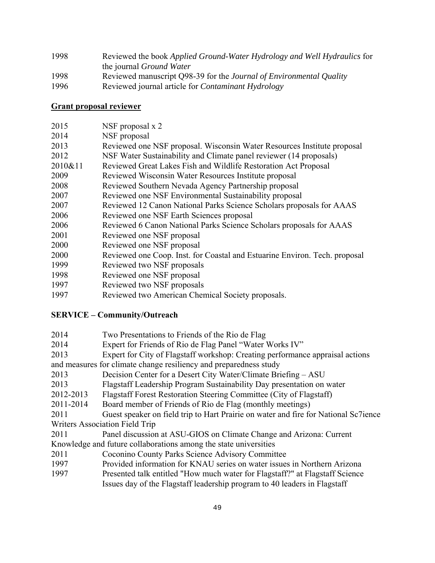| 1998 | Reviewed the book <i>Applied Ground-Water Hydrology and Well Hydraulics</i> for |
|------|---------------------------------------------------------------------------------|
|      | the journal <i>Ground Water</i>                                                 |
| 1998 | Reviewed manuscript Q98-39 for the <i>Journal of Environmental Quality</i>      |
| 1996 | Reviewed journal article for <i>Contaminant Hydrology</i>                       |

#### **Grant proposal reviewer**

| 2015    | NSF proposal $x$ 2                                                         |
|---------|----------------------------------------------------------------------------|
| 2014    | NSF proposal                                                               |
| 2013    | Reviewed one NSF proposal. Wisconsin Water Resources Institute proposal    |
| 2012    | NSF Water Sustainability and Climate panel reviewer (14 proposals)         |
| 2010&11 | Reviewed Great Lakes Fish and Wildlife Restoration Act Proposal            |
| 2009    | Reviewed Wisconsin Water Resources Institute proposal                      |
| 2008    | Reviewed Southern Nevada Agency Partnership proposal                       |
| 2007    | Reviewed one NSF Environmental Sustainability proposal                     |
| 2007    | Reviewed 12 Canon National Parks Science Scholars proposals for AAAS       |
| 2006    | Reviewed one NSF Earth Sciences proposal                                   |
| 2006    | Reviewed 6 Canon National Parks Science Scholars proposals for AAAS        |
| 2001    | Reviewed one NSF proposal                                                  |
| 2000    | Reviewed one NSF proposal                                                  |
| 2000    | Reviewed one Coop. Inst. for Coastal and Estuarine Environ. Tech. proposal |
| 1999    | Reviewed two NSF proposals                                                 |
| 1998    | Reviewed one NSF proposal                                                  |
| 1997    | Reviewed two NSF proposals                                                 |

1997 Reviewed two American Chemical Society proposals.

#### **SERVICE – Community/Outreach**

| 2014 | Two Presentations to Friends of the Rio de Flag |  |
|------|-------------------------------------------------|--|
|------|-------------------------------------------------|--|

- 2014 Expert for Friends of Rio de Flag Panel "Water Works IV"
- 2013 Expert for City of Flagstaff workshop: Creating performance appraisal actions
- and measures for climate change resiliency and preparedness study
- 2013 Decision Center for a Desert City Water/Climate Briefing ASU
- 2013 Flagstaff Leadership Program Sustainability Day presentation on water
- 2012-2013 Flagstaff Forest Restoration Steering Committee (City of Flagstaff)
- 2011-2014 Board member of Friends of Rio de Flag (monthly meetings)
- 2011 Guest speaker on field trip to Hart Prairie on water and fire for National Sc7ience Writers Association Field Trip
- 2011 Panel discussion at ASU-GIOS on Climate Change and Arizona: Current Knowledge and future collaborations among the state universities
- 2011 Coconino County Parks Science Advisory Committee
- 1997 Provided information for KNAU series on water issues in Northern Arizona
- 1997 Presented talk entitled "How much water for Flagstaff?" at Flagstaff Science Issues day of the Flagstaff leadership program to 40 leaders in Flagstaff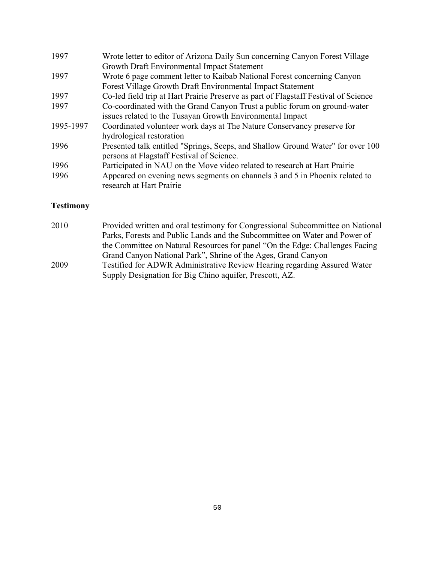| 1997      | Wrote letter to editor of Arizona Daily Sun concerning Canyon Forest Village        |
|-----------|-------------------------------------------------------------------------------------|
|           | Growth Draft Environmental Impact Statement                                         |
| 1997      | Wrote 6 page comment letter to Kaibab National Forest concerning Canyon             |
|           | Forest Village Growth Draft Environmental Impact Statement                          |
| 1997      | Co-led field trip at Hart Prairie Preserve as part of Flagstaff Festival of Science |
| 1997      | Co-coordinated with the Grand Canyon Trust a public forum on ground-water           |
|           | issues related to the Tusayan Growth Environmental Impact                           |
| 1995-1997 | Coordinated volunteer work days at The Nature Conservancy preserve for              |
|           | hydrological restoration                                                            |
| 1996      | Presented talk entitled "Springs, Seeps, and Shallow Ground Water" for over 100     |
|           | persons at Flagstaff Festival of Science.                                           |
| 1996      | Participated in NAU on the Move video related to research at Hart Prairie           |
| 1996      | Appeared on evening news segments on channels 3 and 5 in Phoenix related to         |
|           | research at Hart Prairie                                                            |
|           |                                                                                     |

# **Testimony**

| 2010 | Provided written and oral testimony for Congressional Subcommittee on National |
|------|--------------------------------------------------------------------------------|
|      | Parks, Forests and Public Lands and the Subcommittee on Water and Power of     |
|      | the Committee on Natural Resources for panel "On the Edge: Challenges Facing"  |
|      | Grand Canyon National Park", Shrine of the Ages, Grand Canyon                  |
| 2009 | Testified for ADWR Administrative Review Hearing regarding Assured Water       |

| ZUUY | Testified for ADWK Administrative Review Hearing regarding Assured W |
|------|----------------------------------------------------------------------|
|      | Supply Designation for Big Chino aquifer, Prescott, AZ.              |